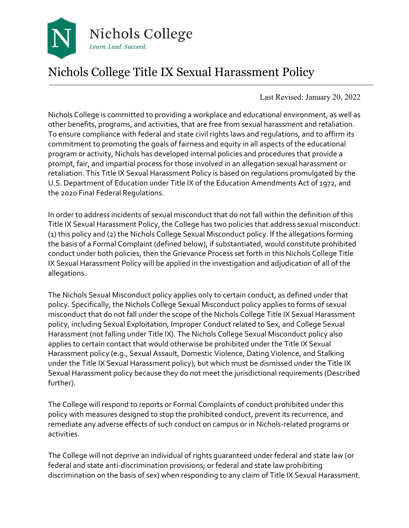

# Nichols College Title IX Sexual Harassment Policy

Last Revised: January 20, 2022

Nichols College is committed to providing a workplace and educational environment, as well as other benefits, programs, and activities, that are free from sexual harassment and retaliation. To ensure compliance with federal and state civil rights laws and regulations, and to affirm its commitment to promoting the goals of fairness and equity in all aspects of the educational program or activity, Nichols has developed internal policies and procedures that provide a prompt, fair, and impartial process for those involved in an allegation sexual harassment or retaliation. This Title IX Sexual Harassment Policy is based on regulations promulgated by the U.S. Department of Education under Title IX of the Education Amendments Act of 1972, and the 2020 Final Federal Regulations.

In order to address incidents of sexual misconduct that do not fall within the definition of this Title IX Sexual Harassment Policy, the College has two policies that address sexual misconduct: (1) this policy and (2) the Nichols College Sexual Misconduct policy. If the allegations forming the basis of a Formal Complaint (defined below), if substantiated, would constitute prohibited conduct under both policies, then the Grievance Process set forth in this Nichols College Title IX Sexual Harassment Policy will be applied in the investigation and adjudication of all of the allegations.

The Nichols Sexual Misconduct policy applies only to certain conduct, as defined under that policy. Specifically, the Nichols College Sexual Misconduct policy applies to forms of sexual misconduct that do not fall under the scope of the Nichols College Title IX Sexual Harassment policy, including Sexual Exploitation, Improper Conduct related to Sex, and College Sexual Harassment (not falling under Title IX). The Nichols College Sexual Misconduct policy also applies to certain contact that would otherwise be prohibited under the Title IX Sexual Harassment policy (e.g., Sexual Assault, Domestic Violence, Dating Violence, and Stalking under the Title IX Sexual Harassment policy), but which must be dismissed under the Title IX Sexual Harassment policy because they do not meet the jurisdictional requirements (Described further).

The College will respond to reports or Formal Complaints of conduct prohibited under this policy with measures designed to stop the prohibited conduct, prevent its recurrence, and remediate any adverse effects of such conduct on campus or in Nichols-related programs or activities.

The College will not deprive an individual of rights guaranteed under federal and state law (or federal and state anti-discrimination provisions; or federal and state law prohibiting discrimination on the basis of sex) when responding to any claim of Title IX Sexual Harassment.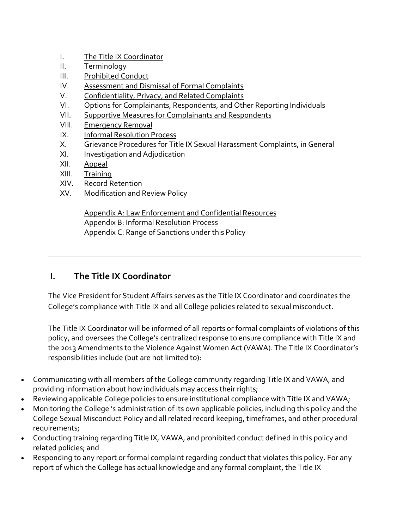- I. The Title IX Coordinator
- II. Terminology
- III. Prohibited Conduct
- IV. Assessment and Dismissal of Formal Complaints
- V. Confidentiality, Privacy, and Related Complaints
- VI. Options for Complainants, Respondents, and Other Reporting Individuals
- VII. Supportive Measures for Complainants and Respondents
- VIII. Emergency Removal
- IX. Informal Resolution Process
- X. Grievance Procedures for Title IX Sexual Harassment Complaints, in General
- XI. Investigation and Adjudication
- XII. Appeal
- XIII. Training
- XIV. Record Retention
- XV. Modification and Review Policy

Appendix A: Law Enforcement and Confidential Resources Appendix B: Informal Resolution Process Appendix C: Range of Sanctions under this Policy

#### **I. The Title IX Coordinator**

The Vice President for Student Affairs serves as the Title IX Coordinator and coordinates the College's compliance with Title IX and all College policies related to sexual misconduct.

The Title IX Coordinator will be informed of all reports or formal complaints of violations of this policy, and oversees the College's centralized response to ensure compliance with Title IX and the 2013 Amendments to the Violence Against Women Act (VAWA). The Title IX Coordinator's responsibilities include (but are not limited to):

- Communicating with all members of the College community regarding Title IX and VAWA, and providing information about how individuals may access their rights;
- Reviewing applicable College policies to ensure institutional compliance with Title IX and VAWA;
- Monitoring the College 's administration of its own applicable policies, including this policy and the College Sexual Misconduct Policy and all related record keeping, timeframes, and other procedural requirements;
- Conducting training regarding Title IX, VAWA, and prohibited conduct defined in this policy and related policies; and
- Responding to any report or formal complaint regarding conduct that violates this policy. For any report of which the College has actual knowledge and any formal complaint, the Title IX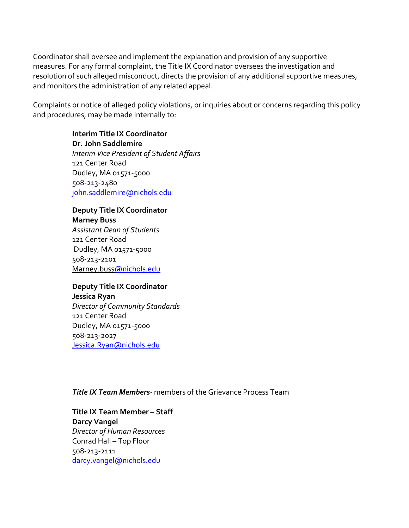Coordinator shall oversee and implement the explanation and provision of any supportive measures. For any formal complaint, the Title IX Coordinator oversees the investigation and resolution of such alleged misconduct, directs the provision of any additional supportive measures, and monitors the administration of any related appeal.

Complaints or notice of alleged policy violations, or inquiries about or concerns regarding this policy and procedures, may be made internally to:

> **Interim Title IX Coordinator Dr. John Saddlemire** *Interim Vice President of Student Affairs* 121 Center Road Dudley, MA 01571-5000 508-213-2480 [john.saddlemire@nichols.edu](mailto:john.saddlemire@nichols.edu)

**Deputy Title IX Coordinator Marney Buss** *Assistant Dean of Students*  121 Center Road Dudley, MA 01571-5000 508-213-2101 Marney.bus[s@nichols.edu](mailto:Katie.Cushing@nichols.edu)

**Deputy Title IX Coordinator Jessica Ryan** *Director of Community Standards* 121 Center Road Dudley, MA 01571-5000 508-213-2027 [Jessica.Ryan@nichols.edu](mailto:Jessica.Ryan@nichols.edu)

*Title IX Team Members-* members of the Grievance Process Team

**Title IX Team Member – Staff Darcy Vangel** *Director of Human Resources* Conrad Hall – Top Floor 508-213-2111 [darcy.vangel@nichols.edu](mailto:darcy.vangel@nichols.edu)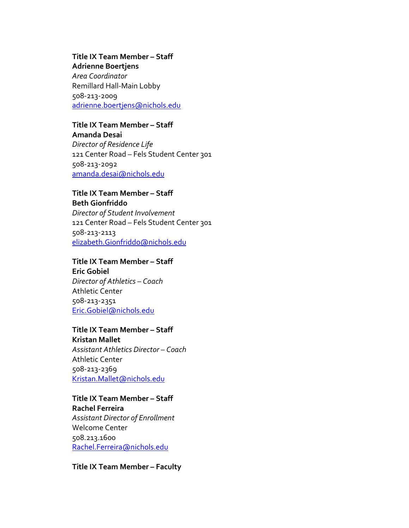**Title IX Team Member – Staff**

**Adrienne Boertjens** *Area Coordinator* Remillard Hall-Main Lobby 508-213-2009 [adrienne.boertjens@nichols.edu](mailto:adrienne.boertjens@nichols.edu)

#### **Title IX Team Member – Staff**

**Amanda Desai** *Director of Residence Life* 121 Center Road – Fels Student Center 301 508-213-2092 [amanda.desai@nichols.edu](mailto:amanda.desai@nichols.edu)

#### **Title IX Team Member – Staff Beth Gionfriddo**

*Director of Student Involvement*  121 Center Road – Fels Student Center 301 508-213-2113 [elizabeth.Gionfriddo@nichols.edu](mailto:elizabeth.Gionfriddo@nichols.edu)

#### **Title IX Team Member – Staff**

**Eric Gobiel** *Director of Athletics – Coach* Athletic Center 508-213-2351 [Eric.Gobiel@nichols.edu](mailto:Eric.Gobiel@nichols.edu)

#### **Title IX Team Member – Staff**

**Kristan Mallet** *Assistant Athletics Director – Coach* Athletic Center 508-213-2369 [Kristan.Mallet@nichols.edu](mailto:Kristan.Mallet@nichols.edu)

#### **Title IX Team Member – Staff Rachel Ferreira** *Assistant Director of Enrollment* Welcome Center 508.213.1600 [Rachel.Ferreira@nichols.edu](mailto:Rachel.Ferreira@nichols.edu)

**Title IX Team Member – Faculty**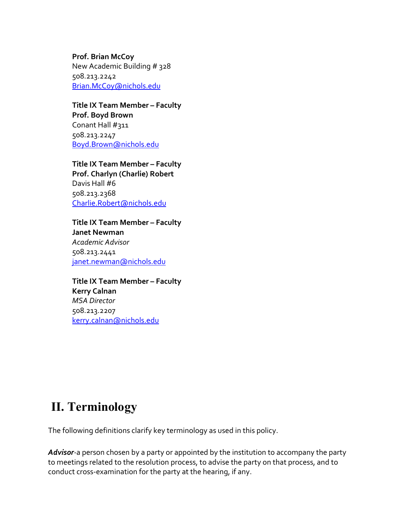**Prof. Brian McCoy** New Academic Building # 328 508.213.2242 [Brian.McCoy@nichols.edu](mailto:Brian.McCoy@nichols.edu)

**Title IX Team Member – Faculty Prof. Boyd Brown** Conant Hall #311 508.213.2247 [Boyd.Brown@nichols.edu](mailto:Boyd.Brown@nichols.edu)

**Title IX Team Member – Faculty Prof. Charlyn (Charlie) Robert** Davis Hall #6 508.213.2368 [Charlie.Robert@nichols.edu](mailto:Charlie.Robert@nichols.edu)

**Title IX Team Member – Faculty Janet Newman** *Academic Advisor* 508.213.2441 [janet.newman@nichols.edu](mailto:janet.newman@nichols.edu)

**Title IX Team Member – Faculty Kerry Calnan** *MSA Director* 508.213.2207 [kerry.calnan@nichols.edu](mailto:kerry.calnan@nichols.edu)

## **II. Terminology**

The following definitions clarify key terminology as used in this policy.

*Advisor-*a person chosen by a party or appointed by the institution to accompany the party to meetings related to the resolution process, to advise the party on that process, and to conduct cross-examination for the party at the hearing, if any.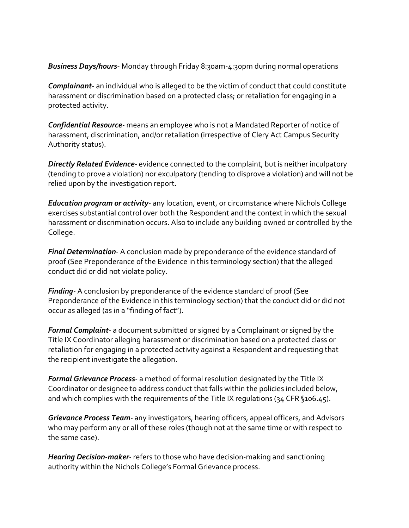*Business Days/hours*- Monday through Friday 8:30am-4:30pm during normal operations

*Complainant*- an individual who is alleged to be the victim of conduct that could constitute harassment or discrimination based on a protected class; or retaliation for engaging in a protected activity.

*Confidential Resource-* means an employee who is not a Mandated Reporter of notice of harassment, discrimination, and/or retaliation (irrespective of Clery Act Campus Security Authority status).

*Directly Related Evidence-* evidence connected to the complaint, but is neither inculpatory (tending to prove a violation) nor exculpatory (tending to disprove a violation) and will not be relied upon by the investigation report.

*Education program or activity-* any location, event, or circumstance where Nichols College exercises substantial control over both the Respondent and the context in which the sexual harassment or discrimination occurs. Also to include any building owned or controlled by the College.

*Final Determination-* A conclusion made by preponderance of the evidence standard of proof (See Preponderance of the Evidence in this terminology section) that the alleged conduct did or did not violate policy.

*Finding-* A conclusion by preponderance of the evidence standard of proof (See Preponderance of the Evidence in this terminology section) that the conduct did or did not occur as alleged (as in a "finding of fact").

*Formal Complaint-* a document submitted or signed by a Complainant or signed by the Title IX Coordinator alleging harassment or discrimination based on a protected class or retaliation for engaging in a protected activity against a Respondent and requesting that the recipient investigate the allegation.

*Formal Grievance Process-* a method of formal resolution designated by the Title IX Coordinator or designee to address conduct that falls within the policies included below, and which complies with the requirements of the Title IX regulations (34 CFR §106.45).

*Grievance Process Team-* any investigators, hearing officers, appeal officers, and Advisors who may perform any or all of these roles (though not at the same time or with respect to the same case).

*Hearing Decision-maker-* refers to those who have decision-making and sanctioning authority within the Nichols College's Formal Grievance process.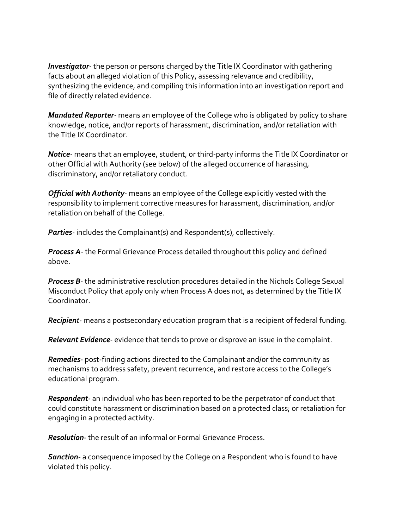*Investigator-* the person or persons charged by the Title IX Coordinator with gathering facts about an alleged violation of this Policy, assessing relevance and credibility, synthesizing the evidence, and compiling this information into an investigation report and file of directly related evidence.

*Mandated Reporter-* means an employee of the College who is obligated by policy to share knowledge, notice, and/or reports of harassment, discrimination, and/or retaliation with the Title IX Coordinator.

*Notice-* means that an employee, student, or third-party informs the Title IX Coordinator or other Official with Authority (see below) of the alleged occurrence of harassing, discriminatory, and/or retaliatory conduct.

*Official with Authority*- means an employee of the College explicitly vested with the responsibility to implement corrective measures for harassment, discrimination, and/or retaliation on behalf of the College.

*Parties-* includes the Complainant(s) and Respondent(s), collectively.

*Process A-* the Formal Grievance Process detailed throughout this policy and defined above.

*Process B*- the administrative resolution procedures detailed in the Nichols College Sexual Misconduct Policy that apply only when Process A does not, as determined by the Title IX Coordinator.

*Recipient-* means a postsecondary education program that is a recipient of federal funding.

*Relevant Evidence-* evidence that tends to prove or disprove an issue in the complaint.

*Remedies-* post-finding actions directed to the Complainant and/or the community as mechanisms to address safety, prevent recurrence, and restore access to the College's educational program.

*Respondent-* an individual who has been reported to be the perpetrator of conduct that could constitute harassment or discrimination based on a protected class; or retaliation for engaging in a protected activity.

*Resolution-* the result of an informal or Formal Grievance Process.

*Sanction*- a consequence imposed by the College on a Respondent who is found to have violated this policy.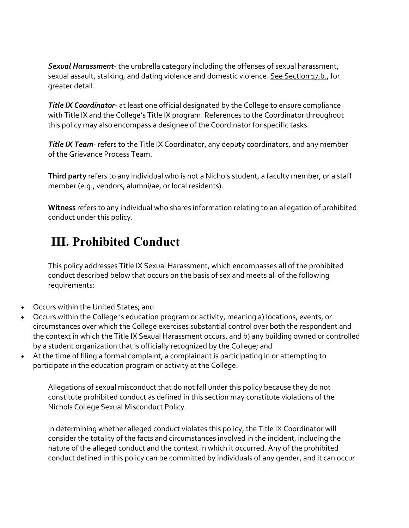*Sexual Harassment*- the umbrella category including the offenses of sexual harassment, sexual assault, stalking, and dating violence and domestic violence. See Section 17.b., for greater detail.

*Title IX Coordinator*- at least one official designated by the College to ensure compliance with Title IX and the College's Title IX program. References to the Coordinator throughout this policy may also encompass a designee of the Coordinator for specific tasks.

*Title IX Team-* refers to the Title IX Coordinator, any deputy coordinators, and any member of the Grievance Process Team.

**Third party** refers to any individual who is not a Nichols student, a faculty member, or a staff member (e.g., vendors, alumni/ae, or local residents).

**Witness** refers to any individual who shares information relating to an allegation of prohibited conduct under this policy.

# **III. Prohibited Conduct**

This policy addresses Title IX Sexual Harassment, which encompasses all of the prohibited conduct described below that occurs on the basis of sex and meets all of the following requirements:

- Occurs within the United States; and
- Occurs within the College 's education program or activity, meaning a) locations, events, or circumstances over which the College exercises substantial control over both the respondent and the context in which the Title IX Sexual Harassment occurs, and b) any building owned or controlled by a student organization that is officially recognized by the College; and
- At the time of filing a formal complaint, a complainant is participating in or attempting to participate in the education program or activity at the College.

Allegations of sexual misconduct that do not fall under this policy because they do not constitute prohibited conduct as defined in this section may constitute violations of the Nichols College Sexual Misconduct Policy.

In determining whether alleged conduct violates this policy, the Title IX Coordinator will consider the totality of the facts and circumstances involved in the incident, including the nature of the alleged conduct and the context in which it occurred. Any of the prohibited conduct defined in this policy can be committed by individuals of any gender, and it can occur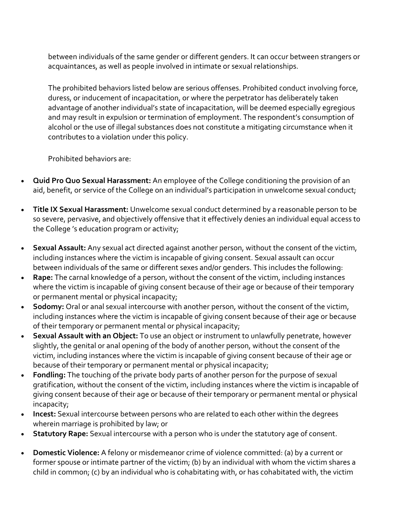between individuals of the same gender or different genders. It can occur between strangers or acquaintances, as well as people involved in intimate or sexual relationships.

The prohibited behaviors listed below are serious offenses. Prohibited conduct involving force, duress, or inducement of incapacitation, or where the perpetrator has deliberately taken advantage of another individual's state of incapacitation, will be deemed especially egregious and may result in expulsion or termination of employment. The respondent's consumption of alcohol or the use of illegal substances does not constitute a mitigating circumstance when it contributes to a violation under this policy.

Prohibited behaviors are:

- **Quid Pro Quo Sexual Harassment:** An employee of the College conditioning the provision of an aid, benefit, or service of the College on an individual's participation in unwelcome sexual conduct;
- **Title IX Sexual Harassment:** Unwelcome sexual conduct determined by a reasonable person to be so severe, pervasive, and objectively offensive that it effectively denies an individual equal access to the College 's education program or activity;
- **Sexual Assault:** Any sexual act directed against another person, without the consent of the victim, including instances where the victim is incapable of giving consent. Sexual assault can occur between individuals of the same or different sexes and/or genders. This includes the following:
- **Rape:** The carnal knowledge of a person, without the consent of the victim, including instances where the victim is incapable of giving consent because of their age or because of their temporary or permanent mental or physical incapacity;
- **Sodomy:** Oral or anal sexual intercourse with another person, without the consent of the victim, including instances where the victim is incapable of giving consent because of their age or because of their temporary or permanent mental or physical incapacity;
- **Sexual Assault with an Object:** To use an object or instrument to unlawfully penetrate, however slightly, the genital or anal opening of the body of another person, without the consent of the victim, including instances where the victim is incapable of giving consent because of their age or because of their temporary or permanent mental or physical incapacity;
- **Fondling:** The touching of the private body parts of another person for the purpose of sexual gratification, without the consent of the victim, including instances where the victim is incapable of giving consent because of their age or because of their temporary or permanent mental or physical incapacity;
- **Incest:** Sexual intercourse between persons who are related to each other within the degrees wherein marriage is prohibited by law; or
- **Statutory Rape:** Sexual intercourse with a person who is under the statutory age of consent.
- **Domestic Violence:** A felony or misdemeanor crime of violence committed: (a) by a current or former spouse or intimate partner of the victim; (b) by an individual with whom the victim shares a child in common; (c) by an individual who is cohabitating with, or has cohabitated with, the victim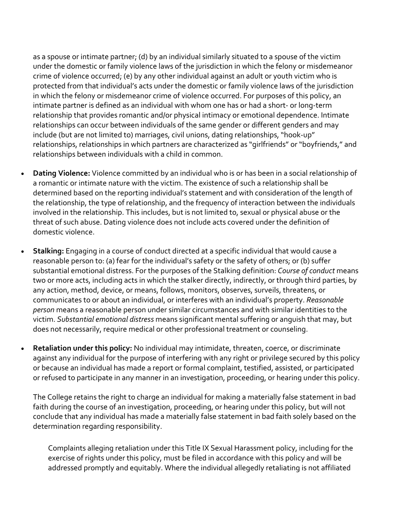as a spouse or intimate partner; (d) by an individual similarly situated to a spouse of the victim under the domestic or family violence laws of the jurisdiction in which the felony or misdemeanor crime of violence occurred; (e) by any other individual against an adult or youth victim who is protected from that individual's acts under the domestic or family violence laws of the jurisdiction in which the felony or misdemeanor crime of violence occurred. For purposes of this policy, an intimate partner is defined as an individual with whom one has or had a short- or long-term relationship that provides romantic and/or physical intimacy or emotional dependence. Intimate relationships can occur between individuals of the same gender or different genders and may include (but are not limited to) marriages, civil unions, dating relationships, "hook-up" relationships, relationships in which partners are characterized as "girlfriends" or "boyfriends," and relationships between individuals with a child in common.

- **Dating Violence:** Violence committed by an individual who is or has been in a social relationship of a romantic or intimate nature with the victim. The existence of such a relationship shall be determined based on the reporting individual's statement and with consideration of the length of the relationship, the type of relationship, and the frequency of interaction between the individuals involved in the relationship. This includes, but is not limited to, sexual or physical abuse or the threat of such abuse. Dating violence does not include acts covered under the definition of domestic violence.
- **Stalking:** Engaging in a course of conduct directed at a specific individual that would cause a reasonable person to: (a) fear for the individual's safety or the safety of others; or (b) suffer substantial emotional distress. For the purposes of the Stalking definition: *Course of conduct* means two or more acts, including acts in which the stalker directly, indirectly, or through third parties, by any action, method, device, or means, follows, monitors, observes, surveils, threatens, or communicates to or about an individual, or interferes with an individual's property. *Reasonable person* means a reasonable person under similar circumstances and with similar identities to the victim. *Substantial emotional distress* means significant mental suffering or anguish that may, but does not necessarily, require medical or other professional treatment or counseling.
- **Retaliation under this policy:** No individual may intimidate, threaten, coerce, or discriminate against any individual for the purpose of interfering with any right or privilege secured by this policy or because an individual has made a report or formal complaint, testified, assisted, or participated or refused to participate in any manner in an investigation, proceeding, or hearing under this policy.

The College retains the right to charge an individual for making a materially false statement in bad faith during the course of an investigation, proceeding, or hearing under this policy, but will not conclude that any individual has made a materially false statement in bad faith solely based on the determination regarding responsibility.

Complaints alleging retaliation under this Title IX Sexual Harassment policy, including for the exercise of rights under this policy, must be filed in accordance with this policy and will be addressed promptly and equitably. Where the individual allegedly retaliating is not affiliated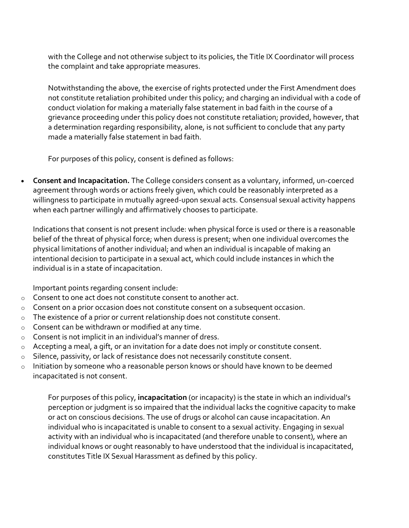with the College and not otherwise subject to its policies, the Title IX Coordinator will process the complaint and take appropriate measures.

Notwithstanding the above, the exercise of rights protected under the First Amendment does not constitute retaliation prohibited under this policy; and charging an individual with a code of conduct violation for making a materially false statement in bad faith in the course of a grievance proceeding under this policy does not constitute retaliation; provided, however, that a determination regarding responsibility, alone, is not sufficient to conclude that any party made a materially false statement in bad faith.

For purposes of this policy, consent is defined as follows:

• **Consent and Incapacitation.** The College considers consent as a voluntary, informed, un-coerced agreement through words or actions freely given, which could be reasonably interpreted as a willingness to participate in mutually agreed-upon sexual acts. Consensual sexual activity happens when each partner willingly and affirmatively chooses to participate.

Indications that consent is not present include: when physical force is used or there is a reasonable belief of the threat of physical force; when duress is present; when one individual overcomes the physical limitations of another individual; and when an individual is incapable of making an intentional decision to participate in a sexual act, which could include instances in which the individual is in a state of incapacitation.

Important points regarding consent include:

- o Consent to one act does not constitute consent to another act.
- o Consent on a prior occasion does not constitute consent on a subsequent occasion.
- $\circ$  The existence of a prior or current relationship does not constitute consent.
- o Consent can be withdrawn or modified at any time.
- o Consent is not implicit in an individual's manner of dress.
- o Accepting a meal, a gift, or an invitation for a date does not imply or constitute consent.
- o Silence, passivity, or lack of resistance does not necessarily constitute consent.
- o Initiation by someone who a reasonable person knows or should have known to be deemed incapacitated is not consent.

For purposes of this policy, **incapacitation** (or incapacity) is the state in which an individual's perception or judgment is so impaired that the individual lacks the cognitive capacity to make or act on conscious decisions. The use of drugs or alcohol can cause incapacitation. An individual who is incapacitated is unable to consent to a sexual activity. Engaging in sexual activity with an individual who is incapacitated (and therefore unable to consent), where an individual knows or ought reasonably to have understood that the individual is incapacitated, constitutes Title IX Sexual Harassment as defined by this policy.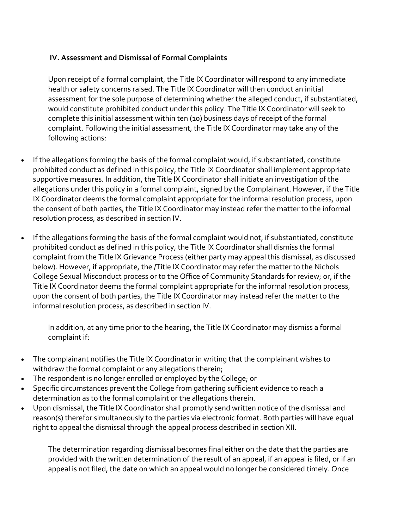#### **IV. Assessment and Dismissal of Formal Complaints**

Upon receipt of a formal complaint, the Title IX Coordinator will respond to any immediate health or safety concerns raised. The Title IX Coordinator will then conduct an initial assessment for the sole purpose of determining whether the alleged conduct, if substantiated, would constitute prohibited conduct under this policy. The Title IX Coordinator will seek to complete this initial assessment within ten (10) business days of receipt of the formal complaint. Following the initial assessment, the Title IX Coordinator may take any of the following actions:

- If the allegations forming the basis of the formal complaint would, if substantiated, constitute prohibited conduct as defined in this policy, the Title IX Coordinator shall implement appropriate supportive measures. In addition, the Title IX Coordinator shall initiate an investigation of the allegations under this policy in a formal complaint, signed by the Complainant. However, if the Title IX Coordinator deems the formal complaint appropriate for the informal resolution process, upon the consent of both parties, the Title IX Coordinator may instead refer the matter to the informal resolution process, as described in section IV.
- If the allegations forming the basis of the formal complaint would not, if substantiated, constitute prohibited conduct as defined in this policy, the Title IX Coordinator shall dismiss the formal complaint from the Title IX Grievance Process (either party may appeal this dismissal, as discussed below). However, if appropriate, the /Title IX Coordinator may refer the matter to the Nichols College Sexual Misconduct process or to the Office of Community Standards for review; or, if the Title IX Coordinator deems the formal complaint appropriate for the informal resolution process, upon the consent of both parties, the Title IX Coordinator may instead refer the matter to the informal resolution process, as described in section IV.

In addition, at any time prior to the hearing, the Title IX Coordinator may dismiss a formal complaint if:

- The complainant notifies the Title IX Coordinator in writing that the complainant wishes to withdraw the formal complaint or any allegations therein;
- The respondent is no longer enrolled or employed by the College; or
- Specific circumstances prevent the College from gathering sufficient evidence to reach a determination as to the formal complaint or the allegations therein.
- Upon dismissal, the Title IX Coordinator shall promptly send written notice of the dismissal and reason(s) therefor simultaneously to the parties via electronic format. Both parties will have equal right to appeal the dismissal through the appeal process described in [section XII.](https://inclusive.princeton.edu/addressing-concerns/policies/title-ix-sexual-harassment-policy#TIXPSection10)

The determination regarding dismissal becomes final either on the date that the parties are provided with the written determination of the result of an appeal, if an appeal is filed, or if an appeal is not filed, the date on which an appeal would no longer be considered timely. Once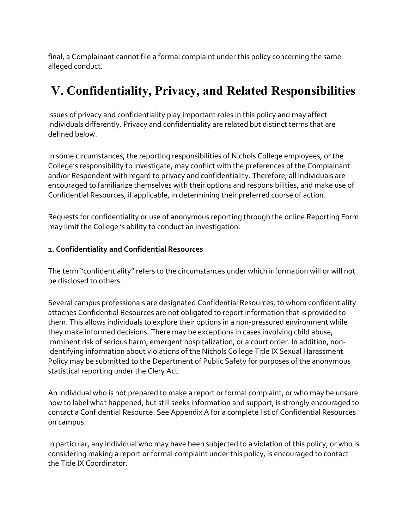final, a Complainant cannot file a formal complaint under this policy concerning the same alleged conduct.

## **V. Confidentiality, Privacy, and Related Responsibilities**

Issues of privacy and confidentiality play important roles in this policy and may affect individuals differently. Privacy and confidentiality are related but distinct terms that are defined below.

In some circumstances, the reporting responsibilities of Nichols College employees, or the College's responsibility to investigate, may conflict with the preferences of the Complainant and/or Respondent with regard to privacy and confidentiality. Therefore, all individuals are encouraged to familiarize themselves with their options and responsibilities, and make use of Confidential Resources, if applicable, in determining their preferred course of action.

Requests for confidentiality or use of anonymous reporting through the online Reporting Form may limit the College 's ability to conduct an investigation.

#### **1. Confidentiality and Confidential Resources**

The term "confidentiality" refers to the circumstances under which information will or will not be disclosed to others.

Several campus professionals are designated Confidential Resources, to whom confidentiality attaches Confidential Resources are not obligated to report information that is provided to them. This allows individuals to explore their options in a non-pressured environment while they make informed decisions. There may be exceptions in cases involving child abuse, imminent risk of serious harm, emergent hospitalization, or a court order. In addition, nonidentifying information about violations of the Nichols College Title IX Sexual Harassment Policy may be submitted to the Department of Public Safety for purposes of the anonymous statistical reporting under the Clery Act.

An individual who is not prepared to make a report or formal complaint, or who may be unsure how to label what happened, but still seeks information and support, is strongly encouraged to contact a Confidential Resource. See Appendix A for a complete list of Confidential Resources on campus.

In particular, any individual who may have been subjected to a violation of this policy, or who is considering making a report or formal complaint under this policy, is encouraged to contact the Title IX Coordinator.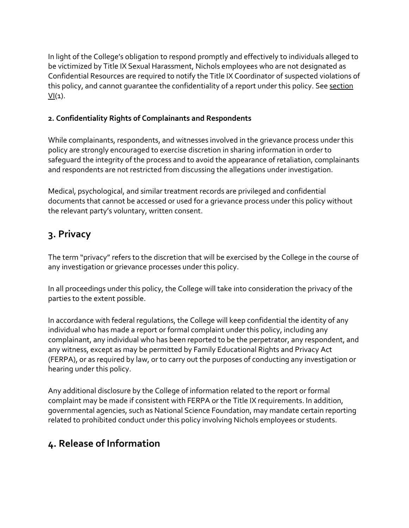In light of the College's obligation to respond promptly and effectively to individuals alleged to be victimized by Title IX Sexual Harassment, Nichols employees who are not designated as Confidential Resources are required to notify the Title IX Coordinator of suspected violations of this policy, and cannot guarantee the confidentiality of a report under this policy. See [section](https://inclusive.princeton.edu/addressing-concerns/policies/title-ix-sexual-harassment-policy#TIXPSection6)   $VI(1)$  $VI(1)$ .

#### **2. Confidentiality Rights of Complainants and Respondents**

While complainants, respondents, and witnesses involved in the grievance process under this policy are strongly encouraged to exercise discretion in sharing information in order to safeguard the integrity of the process and to avoid the appearance of retaliation, complainants and respondents are not restricted from discussing the allegations under investigation.

Medical, psychological, and similar treatment records are privileged and confidential documents that cannot be accessed or used for a grievance process under this policy without the relevant party's voluntary, written consent.

## **3. Privacy**

The term "privacy" refers to the discretion that will be exercised by the College in the course of any investigation or grievance processes under this policy.

In all proceedings under this policy, the College will take into consideration the privacy of the parties to the extent possible.

In accordance with federal regulations, the College will keep confidential the identity of any individual who has made a report or formal complaint under this policy, including any complainant, any individual who has been reported to be the perpetrator, any respondent, and any witness, except as may be permitted by Family Educational Rights and Privacy Act (FERPA), or as required by law, or to carry out the purposes of conducting any investigation or hearing under this policy.

Any additional disclosure by the College of information related to the report or formal complaint may be made if consistent with FERPA or the Title IX requirements. In addition, governmental agencies, such as National Science Foundation, may mandate certain reporting related to prohibited conduct under this policy involving Nichols employees or students.

### **4. Release of Information**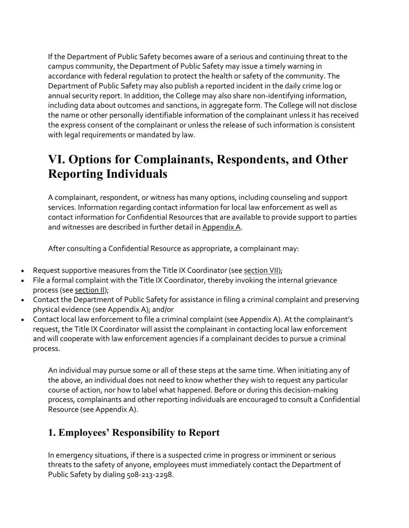If the Department of Public Safety becomes aware of a serious and continuing threat to the campus community, the Department of Public Safety may issue a timely warning in accordance with federal regulation to protect the health or safety of the community. The Department of Public Safety may also publish a reported incident in the daily crime log or annual security report. In addition, the College may also share non-identifying information, including data about outcomes and sanctions, in aggregate form. The College will not disclose the name or other personally identifiable information of the complainant unless it has received the express consent of the complainant or unless the release of such information is consistent with legal requirements or mandated by law.

# **VI. Options for Complainants, Respondents, and Other Reporting Individuals**

A complainant, respondent, or witness has many options, including counseling and support services. Information regarding contact information for local law enforcement as well as contact information for Confidential Resources that are available to provide support to parties and witnesses are described in further detail in [Appendix A.](https://inclusive.princeton.edu/addressing-concerns/policies/title-ix-sexual-harassment-policy#TIXPAppendixA)

After consulting a Confidential Resource as appropriate, a complainant may:

- Request supportive measures from the Title IX Coordinator (see [section VII\)](https://inclusive.princeton.edu/addressing-concerns/policies/title-ix-sexual-harassment-policy#TIXPSection7);
- File a formal complaint with the Title IX Coordinator, thereby invoking the internal grievance process (see [section II\)](https://inclusive.princeton.edu/addressing-concerns/policies/title-ix-sexual-harassment-policy#TIXPSection2);
- Contact the Department of Public Safety for assistance in filing a criminal complaint and preserving physical evidence (see Appendix A); and/or
- Contact local law enforcement to file a criminal complaint (see Appendix A). At the complainant's request, the Title IX Coordinator will assist the complainant in contacting local law enforcement and will cooperate with law enforcement agencies if a complainant decides to pursue a criminal process.

An individual may pursue some or all of these steps at the same time. When initiating any of the above, an individual does not need to know whether they wish to request any particular course of action, nor how to label what happened. Before or during this decision-making process, complainants and other reporting individuals are encouraged to consult a Confidential Resource (see Appendix A).

### **1. Employees' Responsibility to Report**

In emergency situations, if there is a suspected crime in progress or imminent or serious threats to the safety of anyone, employees must immediately contact the Department of Public Safety by dialing 508-213-2298.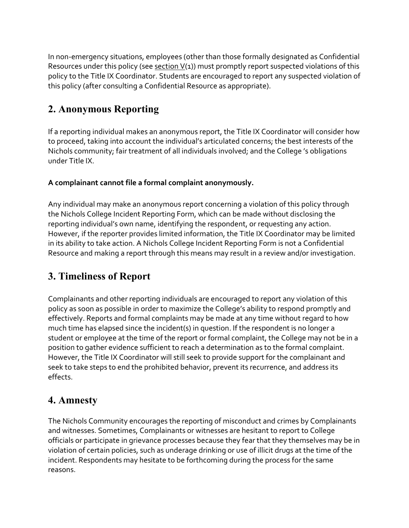In non-emergency situations, employees (other than those formally designated as Confidential Resources under this policy (see [section V\(](https://inclusive.princeton.edu/addressing-concerns/policies/title-ix-sexual-harassment-policy#TIXPSection5)1)) must promptly report suspected violations of this policy to the Title IX Coordinator. Students are encouraged to report any suspected violation of this policy (after consulting a Confidential Resource as appropriate).

## **2. Anonymous Reporting**

If a reporting individual makes an anonymous report, the Title IX Coordinator will consider how to proceed, taking into account the individual's articulated concerns; the best interests of the Nichols community; fair treatment of all individuals involved; and the College 's obligations under Title IX.

#### **A complainant cannot file a formal complaint anonymously.**

Any individual may make an anonymous report concerning a violation of this policy through the Nichols College Incident Reporting Form, which can be made without disclosing the reporting individual's own name, identifying the respondent, or requesting any action. However, if the reporter provides limited information, the Title IX Coordinator may be limited in its ability to take action. A Nichols College Incident Reporting Form is not a Confidential Resource and making a report through this means may result in a review and/or investigation.

### **3. Timeliness of Report**

Complainants and other reporting individuals are encouraged to report any violation of this policy as soon as possible in order to maximize the College's ability to respond promptly and effectively. Reports and formal complaints may be made at any time without regard to how much time has elapsed since the incident(s) in question. If the respondent is no longer a student or employee at the time of the report or formal complaint, the College may not be in a position to gather evidence sufficient to reach a determination as to the formal complaint. However, the Title IX Coordinator will still seek to provide support for the complainant and seek to take steps to end the prohibited behavior, prevent its recurrence, and address its effects.

### **4. Amnesty**

The Nichols Community encourages the reporting of misconduct and crimes by Complainants and witnesses. Sometimes, Complainants or witnesses are hesitant to report to College officials or participate in grievance processes because they fear that they themselves may be in violation of certain policies, such as underage drinking or use of illicit drugs at the time of the incident. Respondents may hesitate to be forthcoming during the process for the same reasons.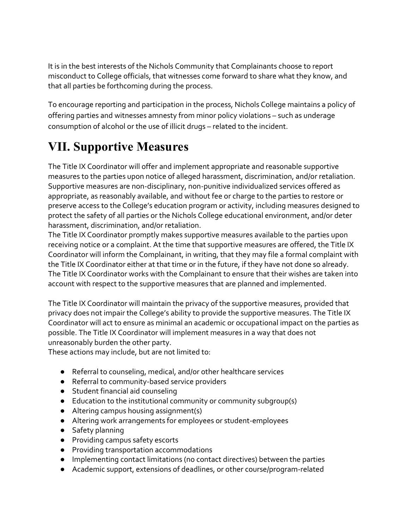It is in the best interests of the Nichols Community that Complainants choose to report misconduct to College officials, that witnesses come forward to share what they know, and that all parties be forthcoming during the process.

To encourage reporting and participation in the process, Nichols College maintains a policy of offering parties and witnesses amnesty from minor policy violations – such as underage consumption of alcohol or the use of illicit drugs – related to the incident.

# **VII. Supportive Measures**

The Title IX Coordinator will offer and implement appropriate and reasonable supportive measures to the parties upon notice of alleged harassment, discrimination, and/or retaliation. Supportive measures are non-disciplinary, non-punitive individualized services offered as appropriate, as reasonably available, and without fee or charge to the parties to restore or preserve access to the College's education program or activity, including measures designed to protect the safety of all parties or the Nichols College educational environment, and/or deter harassment, discrimination, and/or retaliation.

The Title IX Coordinator promptly makes supportive measures available to the parties upon receiving notice or a complaint. At the time that supportive measures are offered, the Title IX Coordinator will inform the Complainant, in writing, that they may file a formal complaint with the Title IX Coordinator either at that time or in the future, if they have not done so already. The Title IX Coordinator works with the Complainant to ensure that their wishes are taken into account with respect to the supportive measures that are planned and implemented.

The Title IX Coordinator will maintain the privacy of the supportive measures, provided that privacy does not impair the College's ability to provide the supportive measures. The Title IX Coordinator will act to ensure as minimal an academic or occupational impact on the parties as possible. The Title IX Coordinator will implement measures in a way that does not unreasonably burden the other party.

These actions may include, but are not limited to:

- Referral to counseling, medical, and/or other healthcare services
- Referral to community-based service providers
- Student financial aid counseling
- Education to the institutional community or community subgroup(s)
- Altering campus housing assignment(s)
- Altering work arrangements for employees or student-employees
- Safety planning
- Providing campus safety escorts
- Providing transportation accommodations
- Implementing contact limitations (no contact directives) between the parties
- Academic support, extensions of deadlines, or other course/program-related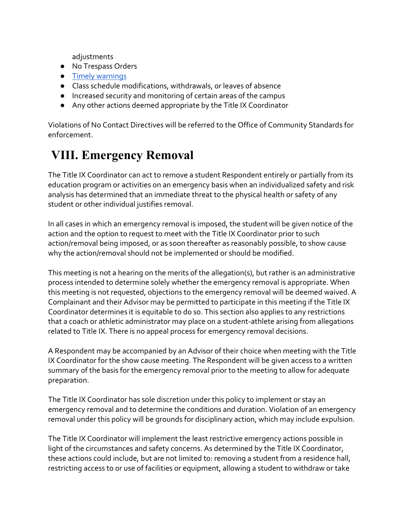adjustments

- No Trespass Orders
- [Timely warnings](http://ncsam.clerycenter.org/wp-content/uploads/NCSAM18_Timely-Warning-Guide.pdf)
- Class schedule modifications, withdrawals, or leaves of absence
- Increased security and monitoring of certain areas of the campus
- Any other actions deemed appropriate by the Title IX Coordinator

Violations of No Contact Directives will be referred to the Office of Community Standards for enforcement.

# **VIII. Emergency Removal**

The Title IX Coordinator can act to remove a student Respondent entirely or partially from its education program or activities on an emergency basis when an individualized safety and risk analysis has determined that an immediate threat to the physical health or safety of any student or other individual justifies removal.

In all cases in which an emergency removal is imposed, the studentwill be given notice of the action and the option to request to meet with the Title IX Coordinator prior to such action/removal being imposed, or as soon thereafter as reasonably possible, to show cause why the action/removal should not be implemented or should be modified.

This meeting is not a hearing on the merits of the allegation(s), but rather is an administrative process intended to determine solely whether the emergency removal is appropriate. When this meeting is not requested, objections to the emergency removal will be deemed waived. A Complainant and their Advisor may be permitted to participate in this meeting if the Title IX Coordinator determines it is equitable to do so. This section also applies to any restrictions that a coach or athletic administrator may place on a student-athlete arising from allegations related to Title IX. There is no appeal process for emergency removal decisions.

A Respondent may be accompanied by an Advisor of their choice when meeting with the Title IX Coordinator for the show cause meeting. The Respondent will be given access to a written summary of the basis for the emergency removal prior to the meeting to allow for adequate preparation.

The Title IX Coordinator has sole discretion under this policy to implement or stay an emergency removal and to determine the conditions and duration. Violation of an emergency removal under this policy will be grounds for disciplinary action, which may include expulsion.

The Title IX Coordinator will implement the least restrictive emergency actions possible in light of the circumstances and safety concerns. As determined by the Title IX Coordinator, these actions could include, but are not limited to: removing a student from a residence hall, restricting access to or use of facilities or equipment, allowing a student to withdraw or take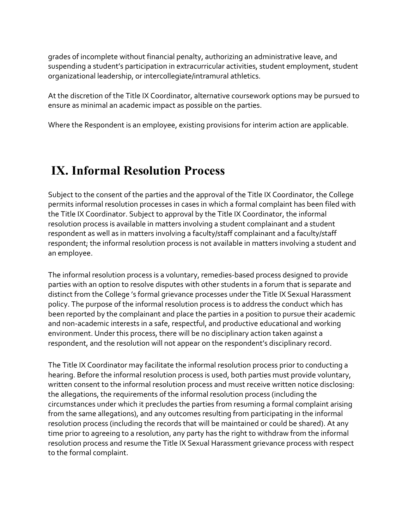grades of incomplete without financial penalty, authorizing an administrative leave, and suspending a student's participation in extracurricular activities, student employment, student organizational leadership, or intercollegiate/intramural athletics.

At the discretion of the Title IX Coordinator, alternative coursework options may be pursued to ensure as minimal an academic impact as possible on the parties.

Where the Respondent is an employee, existing provisions for interim action are applicable.

## **IX. Informal Resolution Process**

Subject to the consent of the parties and the approval of the Title IX Coordinator, the College permits informal resolution processes in cases in which a formal complaint has been filed with the Title IX Coordinator. Subject to approval by the Title IX Coordinator, the informal resolution process is available in matters involving a student complainant and a student respondent as well as in matters involving a faculty/staff complainant and a faculty/staff respondent; the informal resolution process is not available in matters involving a student and an employee.

The informal resolution process is a voluntary, remedies-based process designed to provide parties with an option to resolve disputes with other students in a forum that is separate and distinct from the College 's formal grievance processes under the Title IX Sexual Harassment policy. The purpose of the informal resolution process is to address the conduct which has been reported by the complainant and place the parties in a position to pursue their academic and non-academic interests in a safe, respectful, and productive educational and working environment. Under this process, there will be no disciplinary action taken against a respondent, and the resolution will not appear on the respondent's disciplinary record.

The Title IX Coordinator may facilitate the informal resolution process prior to conducting a hearing. Before the informal resolution process is used, both parties must provide voluntary, written consent to the informal resolution process and must receive written notice disclosing: the allegations, the requirements of the informal resolution process (including the circumstances under which it precludes the parties from resuming a formal complaint arising from the same allegations), and any outcomes resulting from participating in the informal resolution process (including the records that will be maintained or could be shared). At any time prior to agreeing to a resolution, any party has the right to withdraw from the informal resolution process and resume the Title IX Sexual Harassment grievance process with respect to the formal complaint.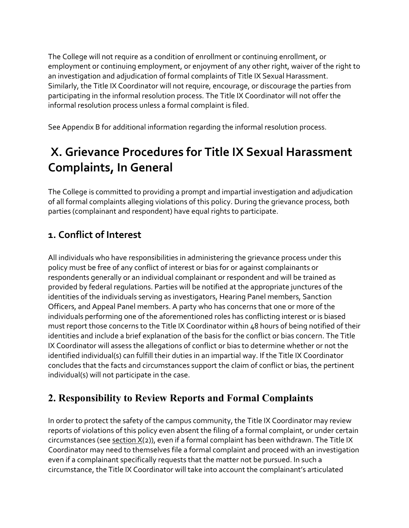The College will not require as a condition of enrollment or continuing enrollment, or employment or continuing employment, or enjoyment of any other right, waiver of the right to an investigation and adjudication of formal complaints of Title IX Sexual Harassment. Similarly, the Title IX Coordinator will not require, encourage, or discourage the parties from participating in the informal resolution process. The Title IX Coordinator will not offer the informal resolution process unless a formal complaint is filed.

See Appendix B for additional information regarding the informal resolution process.

# **X. Grievance Procedures for Title IX Sexual Harassment Complaints, In General**

The College is committed to providing a prompt and impartial investigation and adjudication of all formal complaints alleging violations of this policy. During the grievance process, both parties (complainant and respondent) have equal rights to participate.

## **1. Conflict of Interest**

All individuals who have responsibilities in administering the grievance process under this policy must be free of any conflict of interest or bias for or against complainants or respondents generally or an individual complainant or respondent and will be trained as provided by federal regulations. Parties will be notified at the appropriate junctures of the identities of the individuals serving as investigators, Hearing Panel members, Sanction Officers, and Appeal Panel members. A party who has concerns that one or more of the individuals performing one of the aforementioned roles has conflicting interest or is biased must report those concerns to the Title IX Coordinator within 48 hours of being notified of their identities and include a brief explanation of the basis for the conflict or bias concern. The Title IX Coordinator will assess the allegations of conflict or bias to determine whether or not the identified individual(s) can fulfill their duties in an impartial way. If the Title IX Coordinator concludes that the facts and circumstances support the claim of conflict or bias, the pertinent individual(s) will not participate in the case.

## **2. Responsibility to Review Reports and Formal Complaints**

In order to protect the safety of the campus community, the Title IX Coordinator may review reports of violations of this policy even absent the filing of a formal complaint, or under certain circumstances (see section  $X(2)$ ), even if a formal complaint has been withdrawn. The Title IX Coordinator may need to themselves file a formal complaint and proceed with an investigation even if a complainant specifically requests that the matter not be pursued. In such a circumstance, the Title IX Coordinator will take into account the complainant's articulated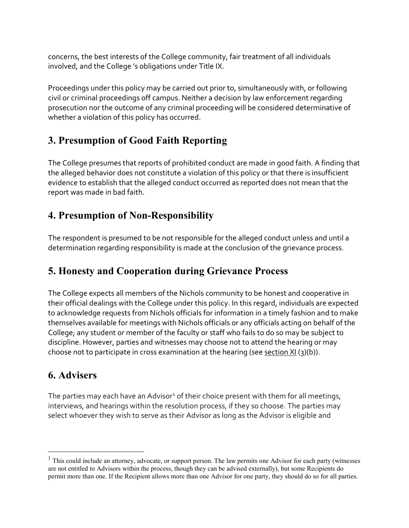concerns, the best interests of the College community, fair treatment of all individuals involved, and the College 's obligations under Title IX.

Proceedings under this policy may be carried out prior to, simultaneously with, or following civil or criminal proceedings off campus. Neither a decision by law enforcement regarding prosecution nor the outcome of any criminal proceeding will be considered determinative of whether a violation of this policy has occurred.

### **3. Presumption of Good Faith Reporting**

The College presumes that reports of prohibited conduct are made in good faith. A finding that the alleged behavior does not constitute a violation of this policy or that there is insufficient evidence to establish that the alleged conduct occurred as reported does not mean that the report was made in bad faith.

### **4. Presumption of Non-Responsibility**

The respondent is presumed to be not responsible for the alleged conduct unless and until a determination regarding responsibility is made at the conclusion of the grievance process.

## **5. Honesty and Cooperation during Grievance Process**

The College expects all members of the Nichols community to be honest and cooperative in their official dealings with the College under this policy. In this regard, individuals are expected to acknowledge requests from Nichols officials for information in a timely fashion and to make themselves available for meetings with Nichols officials or any officials acting on behalf of the College; any student or member of the faculty or staff who fails to do so may be subject to discipline. However, parties and witnesses may choose not to attend the hearing or may choose not to participate in cross examination at the hearing (see section  $XI(3)(b)$ ).

## **6. Advisers**

The parties may each have an Advisor<sup>[1](#page-20-0)</sup> of their choice present with them for all meetings, interviews, and hearings within the resolution process, if they so choose. The parties may select whoever they wish to serve as their Advisor as long as the Advisor is eligible and

<span id="page-20-0"></span><sup>&</sup>lt;sup>1</sup> This could include an attorney, advocate, or support person. The law permits one Advisor for each party (witnesses are not entitled to Advisors within the process, though they can be advised externally), but some Recipients do permit more than one. If the Recipient allows more than one Advisor for one party, they should do so for all parties.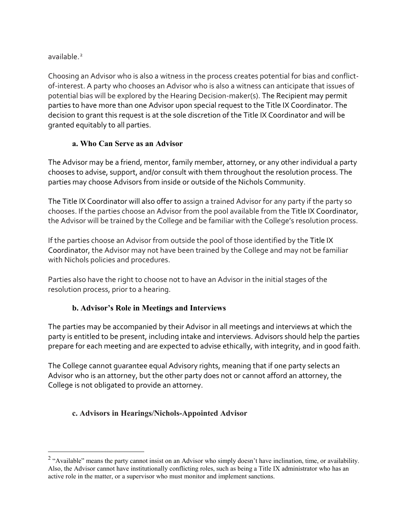available<sup>[2](#page-21-0)</sup>

Choosing an Advisor who is also a witness in the process creates potential for bias and conflictof-interest. A party who chooses an Advisor who is also a witness can anticipate that issues of potential bias will be explored by the Hearing Decision-maker(s). The Recipient may permit parties to have more than one Advisor upon special request to the Title IX Coordinator. The decision to grant this request is at the sole discretion of the Title IX Coordinator and will be granted equitably to all parties.

#### **a. Who Can Serve as an Advisor**

The Advisor may be a friend, mentor, family member, attorney, or any other individual a party chooses to advise, support, and/or consult with them throughout the resolution process. The parties may choose Advisors from inside or outside of the Nichols Community.

The Title IX Coordinator will also offer to assign a trained Advisor for any party if the party so chooses. If the parties choose an Advisor from the pool available from the Title IX Coordinator, the Advisor will be trained by the College and be familiar with the College's resolution process.

If the parties choose an Advisor from outside the pool of those identified by the Title IX Coordinator, the Advisor may not have been trained by the College and may not be familiar with Nichols policies and procedures.

Parties also have the right to choose not to have an Advisor in the initial stages of the resolution process, prior to a hearing.

#### **b. Advisor's Role in Meetings and Interviews**

The parties may be accompanied by their Advisor in all meetings and interviews at which the party is entitled to be present, including intake and interviews. Advisors should help the parties prepare for each meeting and are expected to advise ethically, with integrity, and in good faith.

The College cannot guarantee equal Advisory rights, meaning that if one party selects an Advisor who is an attorney, but the other party does not or cannot afford an attorney, the College is not obligated to provide an attorney.

#### **c. Advisors in Hearings/Nichols-Appointed Advisor**

<span id="page-21-0"></span> $2$  "Available" means the party cannot insist on an Advisor who simply doesn't have inclination, time, or availability. Also, the Advisor cannot have institutionally conflicting roles, such as being a Title IX administrator who has an active role in the matter, or a supervisor who must monitor and implement sanctions.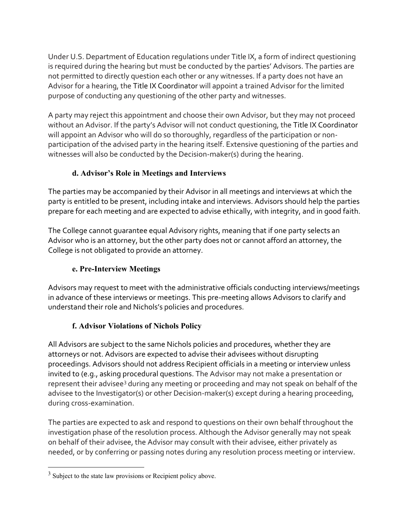Under U.S. Department of Education regulations under Title IX, a form of indirect questioning is required during the hearing but must be conducted by the parties' Advisors. The parties are not permitted to directly question each other or any witnesses. If a party does not have an Advisor for a hearing, the Title IX Coordinator will appoint a trained Advisor for the limited purpose of conducting any questioning of the other party and witnesses.

A party may reject this appointment and choose their own Advisor, but they may not proceed without an Advisor. If the party's Advisor will not conduct questioning, the Title IX Coordinator will appoint an Advisor who will do so thoroughly, regardless of the participation or nonparticipation of the advised party in the hearing itself. Extensive questioning of the parties and witnesses will also be conducted by the Decision-maker(s) during the hearing.

#### **d. Advisor's Role in Meetings and Interviews**

The parties may be accompanied by their Advisor in all meetings and interviews at which the party is entitled to be present, including intake and interviews. Advisors should help the parties prepare for each meeting and are expected to advise ethically, with integrity, and in good faith.

The College cannot guarantee equal Advisory rights, meaning that if one party selects an Advisor who is an attorney, but the other party does not or cannot afford an attorney, the College is not obligated to provide an attorney.

#### **e. Pre-Interview Meetings**

Advisors may request to meet with the administrative officials conducting interviews/meetings in advance of these interviews or meetings. This pre-meeting allows Advisors to clarify and understand their role and Nichols's policies and procedures.

#### **f. Advisor Violations of Nichols Policy**

All Advisors are subject to the same Nichols policies and procedures, whether they are attorneys or not. Advisors are expected to advise their advisees without disrupting proceedings. Advisors should not address Recipient officials in a meeting or interview unless invited to (e.g., asking procedural questions. The Advisor may not make a presentation or represent their advisee<sup>[3](#page-22-0)</sup> during any meeting or proceeding and may not speak on behalf of the advisee to the Investigator(s) or other Decision-maker(s) except during a hearing proceeding, during cross-examination.

The parties are expected to ask and respond to questions on their own behalf throughout the investigation phase of the resolution process. Although the Advisor generally may not speak on behalf of their advisee, the Advisor may consult with their advisee, either privately as needed, or by conferring or passing notes during any resolution process meeting or interview.

<span id="page-22-0"></span><sup>&</sup>lt;sup>3</sup> Subject to the state law provisions or Recipient policy above.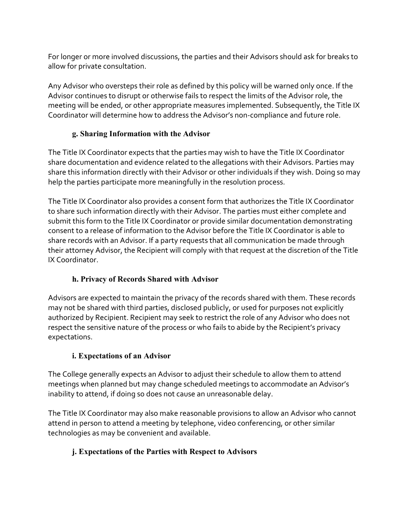For longer or more involved discussions, the parties and their Advisors should ask for breaks to allow for private consultation.

Any Advisor who oversteps their role as defined by this policy will be warned only once. If the Advisor continues to disrupt or otherwise fails to respect the limits of the Advisor role, the meeting will be ended, or other appropriate measures implemented. Subsequently, the Title IX Coordinator will determine how to address the Advisor's non-compliance and future role.

#### **g. Sharing Information with the Advisor**

The Title IX Coordinator expects that the parties may wish to have the Title IX Coordinator share documentation and evidence related to the allegations with their Advisors. Parties may share this information directly with their Advisor or other individuals if they wish. Doing so may help the parties participate more meaningfully in the resolution process.

The Title IX Coordinator also provides a consent form that authorizes the Title IX Coordinator to share such information directly with their Advisor. The parties must either complete and submit this form to the Title IX Coordinator or provide similar documentation demonstrating consent to a release of information to the Advisor before the Title IX Coordinator is able to share records with an Advisor. If a party requests that all communication be made through their attorney Advisor, the Recipient will comply with that request at the discretion of the Title IX Coordinator.

#### **h. Privacy of Records Shared with Advisor**

Advisors are expected to maintain the privacy of the records shared with them. These records may not be shared with third parties, disclosed publicly, or used for purposes not explicitly authorized by Recipient. Recipient may seek to restrict the role of any Advisor who does not respect the sensitive nature of the process or who fails to abide by the Recipient's privacy expectations.

#### **i. Expectations of an Advisor**

The College generally expects an Advisor to adjust their schedule to allow them to attend meetings when planned but may change scheduled meetings to accommodate an Advisor's inability to attend, if doing so does not cause an unreasonable delay.

The Title IX Coordinator may also make reasonable provisions to allow an Advisor who cannot attend in person to attend a meeting by telephone, video conferencing, or other similar technologies as may be convenient and available.

#### **j. Expectations of the Parties with Respect to Advisors**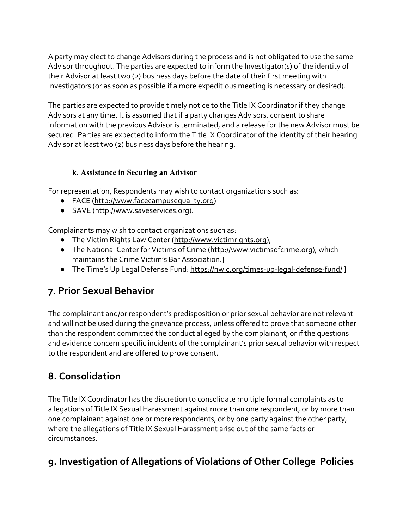A party may elect to change Advisors during the process and is not obligated to use the same Advisor throughout. The parties are expected to inform the Investigator(s) of the identity of their Advisor at least two (2) business days before the date of their first meeting with Investigators (or as soon as possible if a more expeditious meeting is necessary or desired).

The parties are expected to provide timely notice to the Title IX Coordinator if they change Advisors at any time. It is assumed that if a party changes Advisors, consent to share information with the previous Advisor is terminated, and a release for the new Advisor must be secured. Parties are expected to inform the Title IX Coordinator of the identity of their hearing Advisor at least two (2) business days before the hearing.

#### **k. Assistance in Securing an Advisor**

For representation, Respondents may wish to contact organizations such as:

- FACE [\(http://www.facecampusequality.org\)](http://www.facecampusequality.org/)
- SAVE [\(http://www.saveservices.org\)](http://www.saveservices.org/).

Complainants may wish to contact organizations such as:

- The Victim Rights Law Center [\(http://www.victimrights.org\)](http://www.victimrights.org/),
- The National Center for Victims of Crime [\(http://www.victimsofcrime.org\)](http://www.victimsofcrime.org/), which maintains the Crime Victim's Bar Association.]
- The Time's Up Legal Defense Fund:<https://nwlc.org/times-up-legal-defense-fund/>]

## **7. Prior Sexual Behavior**

The complainant and/or respondent's predisposition or prior sexual behavior are not relevant and will not be used during the grievance process, unless offered to prove that someone other than the respondent committed the conduct alleged by the complainant, or if the questions and evidence concern specific incidents of the complainant's prior sexual behavior with respect to the respondent and are offered to prove consent.

## **8. Consolidation**

The Title IX Coordinator has the discretion to consolidate multiple formal complaints as to allegations of Title IX Sexual Harassment against more than one respondent, or by more than one complainant against one or more respondents, or by one party against the other party, where the allegations of Title IX Sexual Harassment arise out of the same facts or circumstances.

## **9. Investigation of Allegations of Violations of Other College Policies**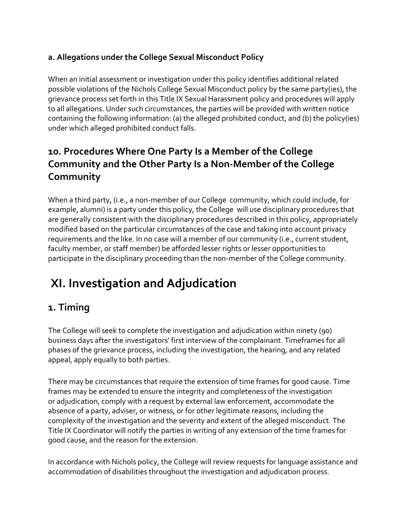#### **a. Allegations under the College Sexual Misconduct Policy**

When an initial assessment or investigation under this policy identifies additional related possible violations of the Nichols College Sexual Misconduct policy by the same party(ies), the grievance process set forth in this Title IX Sexual Harassment policy and procedures will apply to all allegations. Under such circumstances, the parties will be provided with written notice containing the following information: (a) the alleged prohibited conduct, and (b) the policy(ies) under which alleged prohibited conduct falls.

## **10. Procedures Where One Party Is a Member of the College Community and the Other Party Is a Non-Member of the College Community**

When a third party, (i.e., a non-member of our College community, which could include, for example, alumni) is a party under this policy, the College will use disciplinary procedures that are generally consistent with the disciplinary procedures described in this policy, appropriately modified based on the particular circumstances of the case and taking into account privacy requirements and the like. In no case will a member of our community (i.e., current student, faculty member, or staff member) be afforded lesser rights or lesser opportunities to participate in the disciplinary proceeding than the non-member of the College community.

# **XI. Investigation and Adjudication**

### **1. Timing**

The College will seek to complete the investigation and adjudication within ninety (90) business days after the investigators' first interview of the complainant. Timeframes for all phases of the grievance process, including the investigation, the hearing, and any related appeal, apply equally to both parties.

There may be circumstances that require the extension of time frames for good cause. Time frames may be extended to ensure the integrity and completeness of the investigation or adjudication, comply with a request by external law enforcement, accommodate the absence of a party, adviser, or witness, or for other legitimate reasons, including the complexity of the investigation and the severity and extent of the alleged misconduct. The Title IX Coordinator will notify the parties in writing of any extension of the time frames for good cause, and the reason for the extension.

In accordance with Nichols policy, the College will review requests for language assistance and accommodation of disabilities throughout the investigation and adjudication process.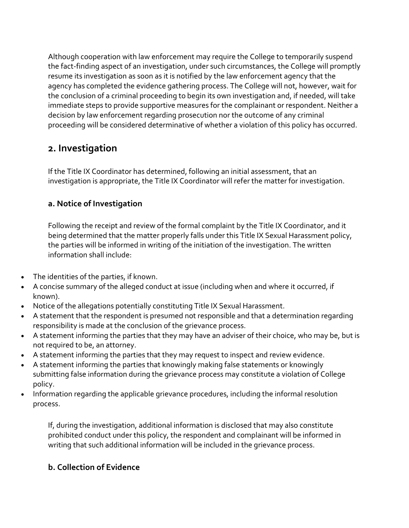Although cooperation with law enforcement may require the College to temporarily suspend the fact-finding aspect of an investigation, under such circumstances, the College will promptly resume its investigation as soon as it is notified by the law enforcement agency that the agency has completed the evidence gathering process. The College will not, however, wait for the conclusion of a criminal proceeding to begin its own investigation and, if needed, will take immediate steps to provide supportive measures for the complainant or respondent. Neither a decision by law enforcement regarding prosecution nor the outcome of any criminal proceeding will be considered determinative of whether a violation of this policy has occurred.

### **2. Investigation**

If the Title IX Coordinator has determined, following an initial assessment, that an investigation is appropriate, the Title IX Coordinator will refer the matter for investigation.

#### **a. Notice of Investigation**

Following the receipt and review of the formal complaint by the Title IX Coordinator, and it being determined that the matter properly falls under this Title IX Sexual Harassment policy, the parties will be informed in writing of the initiation of the investigation. The written information shall include:

- The identities of the parties, if known.
- A concise summary of the alleged conduct at issue (including when and where it occurred, if known).
- Notice of the allegations potentially constituting Title IX Sexual Harassment.
- A statement that the respondent is presumed not responsible and that a determination regarding responsibility is made at the conclusion of the grievance process.
- A statement informing the parties that they may have an adviser of their choice, who may be, but is not required to be, an attorney.
- A statement informing the parties that they may request to inspect and review evidence.
- A statement informing the parties that knowingly making false statements or knowingly submitting false information during the grievance process may constitute a violation of College policy.
- Information regarding the applicable grievance procedures, including the informal resolution process.

If, during the investigation, additional information is disclosed that may also constitute prohibited conduct under this policy, the respondent and complainant will be informed in writing that such additional information will be included in the grievance process.

#### **b. Collection of Evidence**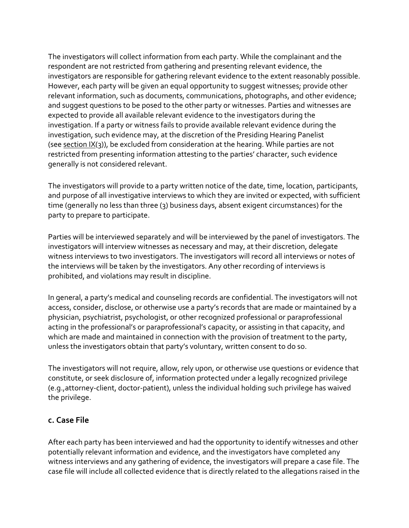The investigators will collect information from each party. While the complainant and the respondent are not restricted from gathering and presenting relevant evidence, the investigators are responsible for gathering relevant evidence to the extent reasonably possible. However, each party will be given an equal opportunity to suggest witnesses; provide other relevant information, such as documents, communications, photographs, and other evidence; and suggest questions to be posed to the other party or witnesses. Parties and witnesses are expected to provide all available relevant evidence to the investigators during the investigation. If a party or witness fails to provide available relevant evidence during the investigation, such evidence may, at the discretion of the Presiding Hearing Panelist (see section  $IX(3)$ ), be excluded from consideration at the hearing. While parties are not restricted from presenting information attesting to the parties' character, such evidence generally is not considered relevant.

The investigators will provide to a party written notice of the date, time, location, participants, and purpose of all investigative interviews to which they are invited or expected, with sufficient time (generally no less than three (3) business days, absent exigent circumstances) for the party to prepare to participate.

Parties will be interviewed separately and will be interviewed by the panel of investigators. The investigators will interview witnesses as necessary and may, at their discretion, delegate witness interviews to two investigators. The investigators will record all interviews or notes of the interviews will be taken by the investigators. Any other recording of interviews is prohibited, and violations may result in discipline.

In general, a party's medical and counseling records are confidential. The investigators will not access, consider, disclose, or otherwise use a party's records that are made or maintained by a physician, psychiatrist, psychologist, or other recognized professional or paraprofessional acting in the professional's or paraprofessional's capacity, or assisting in that capacity, and which are made and maintained in connection with the provision of treatment to the party, unless the investigators obtain that party's voluntary, written consent to do so.

The investigators will not require, allow, rely upon, or otherwise use questions or evidence that constitute, or seek disclosure of, information protected under a legally recognized privilege (e.g.,attorney-client, doctor-patient), unless the individual holding such privilege has waived the privilege.

#### **c. Case File**

After each party has been interviewed and had the opportunity to identify witnesses and other potentially relevant information and evidence, and the investigators have completed any witness interviews and any gathering of evidence, the investigators will prepare a case file. The case file will include all collected evidence that is directly related to the allegations raised in the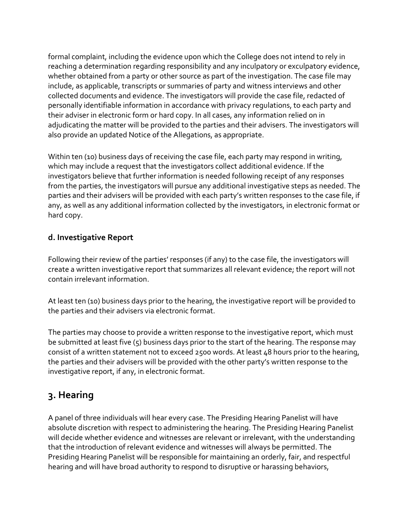formal complaint, including the evidence upon which the College does not intend to rely in reaching a determination regarding responsibility and any inculpatory or exculpatory evidence, whether obtained from a party or other source as part of the investigation. The case file may include, as applicable, transcripts or summaries of party and witness interviews and other collected documents and evidence. The investigators will provide the case file, redacted of personally identifiable information in accordance with privacy regulations, to each party and their adviser in electronic form or hard copy. In all cases, any information relied on in adjudicating the matter will be provided to the parties and their advisers. The investigators will also provide an updated Notice of the Allegations, as appropriate.

Within ten (10) business days of receiving the case file, each party may respond in writing, which may include a request that the investigators collect additional evidence. If the investigators believe that further information is needed following receipt of any responses from the parties, the investigators will pursue any additional investigative steps as needed. The parties and their advisers will be provided with each party's written responses to the case file, if any, as well as any additional information collected by the investigators, in electronic format or hard copy.

#### **d. Investigative Report**

Following their review of the parties' responses (if any) to the case file, the investigators will create a written investigative report that summarizes all relevant evidence; the report will not contain irrelevant information.

At least ten (10) business days prior to the hearing, the investigative report will be provided to the parties and their advisers via electronic format.

The parties may choose to provide a written response to the investigative report, which must be submitted at least five  $(5)$  business days prior to the start of the hearing. The response may consist of a written statement not to exceed 2500 words. At least 48 hours prior to the hearing, the parties and their advisers will be provided with the other party's written response to the investigative report, if any, in electronic format.

## **3. Hearing**

A panel of three individuals will hear every case. The Presiding Hearing Panelist will have absolute discretion with respect to administering the hearing. The Presiding Hearing Panelist will decide whether evidence and witnesses are relevant or irrelevant, with the understanding that the introduction of relevant evidence and witnesses will always be permitted. The Presiding Hearing Panelist will be responsible for maintaining an orderly, fair, and respectful hearing and will have broad authority to respond to disruptive or harassing behaviors,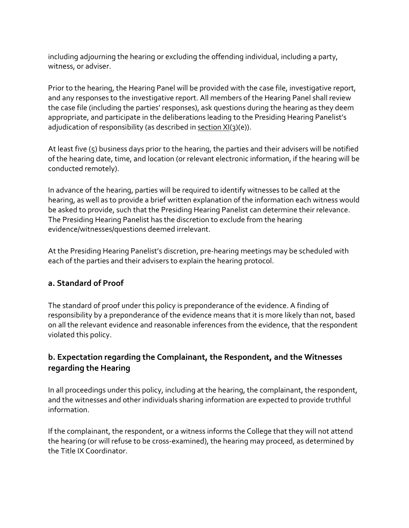including adjourning the hearing or excluding the offending individual, including a party, witness, or adviser.

Prior to the hearing, the Hearing Panel will be provided with the case file, investigative report, and any responses to the investigative report. All members of the Hearing Panel shall review the case file (including the parties' responses), ask questions during the hearing as they deem appropriate, and participate in the deliberations leading to the Presiding Hearing Panelist's adjudication of responsibility (as described in section  $XI(3)(e)$ ).

At least five (5) business days prior to the hearing, the parties and their advisers will be notified of the hearing date, time, and location (or relevant electronic information, if the hearing will be conducted remotely).

In advance of the hearing, parties will be required to identify witnesses to be called at the hearing, as well as to provide a brief written explanation of the information each witness would be asked to provide, such that the Presiding Hearing Panelist can determine their relevance. The Presiding Hearing Panelist has the discretion to exclude from the hearing evidence/witnesses/questions deemed irrelevant.

At the Presiding Hearing Panelist's discretion, pre-hearing meetings may be scheduled with each of the parties and their advisers to explain the hearing protocol.

#### **a. Standard of Proof**

The standard of proof under this policy is preponderance of the evidence. A finding of responsibility by a preponderance of the evidence means that it is more likely than not, based on all the relevant evidence and reasonable inferences from the evidence, that the respondent violated this policy.

#### **b. Expectation regarding the Complainant, the Respondent, and the Witnesses regarding the Hearing**

In all proceedings under this policy, including at the hearing, the complainant, the respondent, and the witnesses and other individuals sharing information are expected to provide truthful information.

If the complainant, the respondent, or a witness informs the College that they will not attend the hearing (or will refuse to be cross-examined), the hearing may proceed, as determined by the Title IX Coordinator.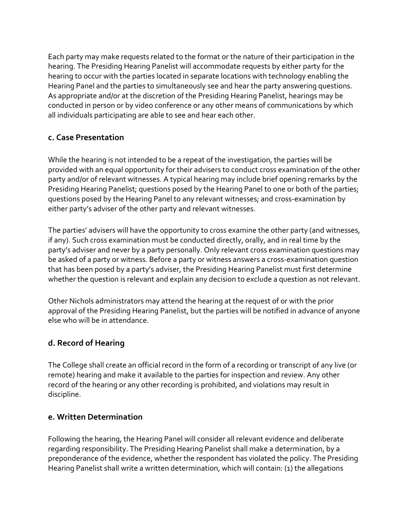Each party may make requests related to the format or the nature of their participation in the hearing. The Presiding Hearing Panelist will accommodate requests by either party for the hearing to occur with the parties located in separate locations with technology enabling the Hearing Panel and the parties to simultaneously see and hear the party answering questions. As appropriate and/or at the discretion of the Presiding Hearing Panelist, hearings may be conducted in person or by video conference or any other means of communications by which all individuals participating are able to see and hear each other.

#### **c. Case Presentation**

While the hearing is not intended to be a repeat of the investigation, the parties will be provided with an equal opportunity for their advisers to conduct cross examination of the other party and/or of relevant witnesses. A typical hearing may include brief opening remarks by the Presiding Hearing Panelist; questions posed by the Hearing Panel to one or both of the parties; questions posed by the Hearing Panel to any relevant witnesses; and cross-examination by either party's adviser of the other party and relevant witnesses.

The parties' advisers will have the opportunity to cross examine the other party (and witnesses, if any). Such cross examination must be conducted directly, orally, and in real time by the party's adviser and never by a party personally. Only relevant cross examination questions may be asked of a party or witness. Before a party or witness answers a cross-examination question that has been posed by a party's adviser, the Presiding Hearing Panelist must first determine whether the question is relevant and explain any decision to exclude a question as not relevant.

Other Nichols administrators may attend the hearing at the request of or with the prior approval of the Presiding Hearing Panelist, but the parties will be notified in advance of anyone else who will be in attendance.

#### **d. Record of Hearing**

The College shall create an official record in the form of a recording or transcript of any live (or remote) hearing and make it available to the parties for inspection and review. Any other record of the hearing or any other recording is prohibited, and violations may result in discipline.

#### **e. Written Determination**

Following the hearing, the Hearing Panel will consider all relevant evidence and deliberate regarding responsibility. The Presiding Hearing Panelist shall make a determination, by a preponderance of the evidence, whether the respondent has violated the policy. The Presiding Hearing Panelist shall write a written determination, which will contain: (1) the allegations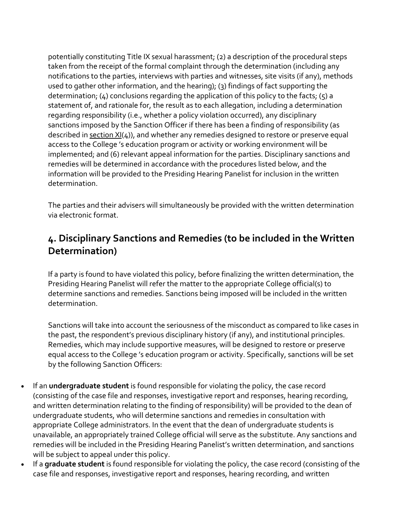potentially constituting Title IX sexual harassment; (2) a description of the procedural steps taken from the receipt of the formal complaint through the determination (including any notifications to the parties, interviews with parties and witnesses, site visits (if any), methods used to gather other information, and the hearing); (3) findings of fact supporting the determination; (4) conclusions regarding the application of this policy to the facts; (5) a statement of, and rationale for, the result as to each allegation, including a determination regarding responsibility (i.e., whether a policy violation occurred), any disciplinary sanctions imposed by the Sanction Officer if there has been a finding of responsibility (as described in [section XI\(](https://inclusive.princeton.edu/addressing-concerns/policies/title-ix-sexual-harassment-policy#TIXPSection11)4)), and whether any remedies designed to restore or preserve equal access to the College 's education program or activity or working environment will be implemented; and (6) relevant appeal information for the parties. Disciplinary sanctions and remedies will be determined in accordance with the procedures listed below, and the information will be provided to the Presiding Hearing Panelist for inclusion in the written determination.

The parties and their advisers will simultaneously be provided with the written determination via electronic format.

### **4. Disciplinary Sanctions and Remedies (to be included in the Written Determination)**

If a party is found to have violated this policy, before finalizing the written determination, the Presiding Hearing Panelist will refer the matter to the appropriate College official(s) to determine sanctions and remedies. Sanctions being imposed will be included in the written determination.

Sanctions will take into account the seriousness of the misconduct as compared to like cases in the past, the respondent's previous disciplinary history (if any), and institutional principles. Remedies, which may include supportive measures, will be designed to restore or preserve equal access to the College 's education program or activity. Specifically, sanctions will be set by the following Sanction Officers:

- If an **undergraduate student** is found responsible for violating the policy, the case record (consisting of the case file and responses, investigative report and responses, hearing recording, and written determination relating to the finding of responsibility) will be provided to the dean of undergraduate students, who will determine sanctions and remedies in consultation with appropriate College administrators. In the event that the dean of undergraduate students is unavailable, an appropriately trained College official will serve as the substitute. Any sanctions and remedies will be included in the Presiding Hearing Panelist's written determination, and sanctions will be subject to appeal under this policy.
- If a **graduate student** is found responsible for violating the policy, the case record (consisting of the case file and responses, investigative report and responses, hearing recording, and written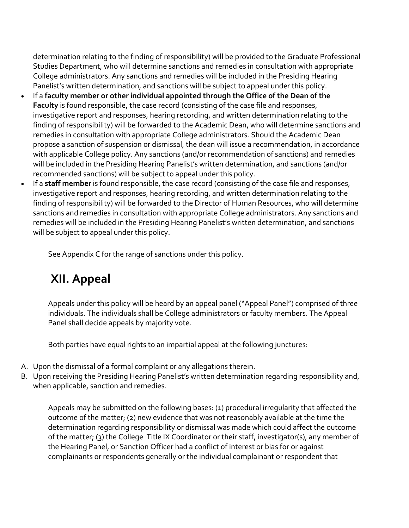determination relating to the finding of responsibility) will be provided to the Graduate Professional Studies Department, who will determine sanctions and remedies in consultation with appropriate College administrators. Any sanctions and remedies will be included in the Presiding Hearing Panelist's written determination, and sanctions will be subject to appeal under this policy.

- If a **faculty member or other individual appointed through the Office of the Dean of the Faculty** is found responsible, the case record (consisting of the case file and responses, investigative report and responses, hearing recording, and written determination relating to the finding of responsibility) will be forwarded to the Academic Dean, who will determine sanctions and remedies in consultation with appropriate College administrators. Should the Academic Dean propose a sanction of suspension or dismissal, the dean will issue a recommendation, in accordance with applicable College policy. Any sanctions (and/or recommendation of sanctions) and remedies will be included in the Presiding Hearing Panelist's written determination, and sanctions (and/or recommended sanctions) will be subject to appeal under this policy.
- If a **staff member** is found responsible, the case record (consisting of the case file and responses, investigative report and responses, hearing recording, and written determination relating to the finding of responsibility) will be forwarded to the Director of Human Resources, who will determine sanctions and remedies in consultation with appropriate College administrators. Any sanctions and remedies will be included in the Presiding Hearing Panelist's written determination, and sanctions will be subject to appeal under this policy.

See Appendix C for the range of sanctions under this policy.

# **XII. Appeal**

Appeals under this policy will be heard by an appeal panel ("Appeal Panel") comprised of three individuals. The individuals shall be College administrators or faculty members. The Appeal Panel shall decide appeals by majority vote.

Both parties have equal rights to an impartial appeal at the following junctures:

- A. Upon the dismissal of a formal complaint or any allegations therein.
- B. Upon receiving the Presiding Hearing Panelist's written determination regarding responsibility and, when applicable, sanction and remedies.

Appeals may be submitted on the following bases: (1) procedural irregularity that affected the outcome of the matter; (2) new evidence that was not reasonably available at the time the determination regarding responsibility or dismissal was made which could affect the outcome of the matter; (3) the College Title IX Coordinator or their staff, investigator(s), any member of the Hearing Panel, or Sanction Officer had a conflict of interest or bias for or against complainants or respondents generally or the individual complainant or respondent that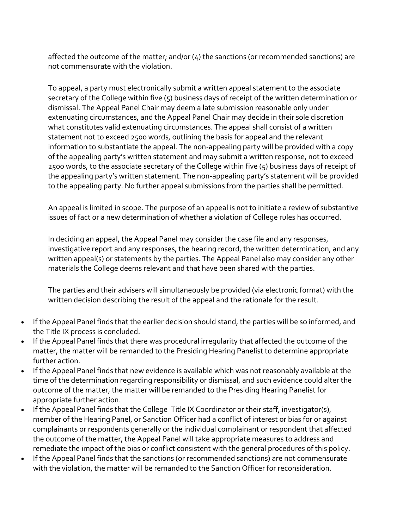affected the outcome of the matter; and/or  $(\mu)$  the sanctions (or recommended sanctions) are not commensurate with the violation.

To appeal, a party must electronically submit a written appeal statement to the associate secretary of the College within five (5) business days of receipt of the written determination or dismissal. The Appeal Panel Chair may deem a late submission reasonable only under extenuating circumstances, and the Appeal Panel Chair may decide in their sole discretion what constitutes valid extenuating circumstances. The appeal shall consist of a written statement not to exceed 2500 words, outlining the basis for appeal and the relevant information to substantiate the appeal. The non-appealing party will be provided with a copy of the appealing party's written statement and may submit a written response, not to exceed 2500 words, to the associate secretary of the College within five (5) business days of receipt of the appealing party's written statement. The non-appealing party's statement will be provided to the appealing party. No further appeal submissions from the parties shall be permitted.

An appeal is limited in scope. The purpose of an appeal is not to initiate a review of substantive issues of fact or a new determination of whether a violation of College rules has occurred.

In deciding an appeal, the Appeal Panel may consider the case file and any responses, investigative report and any responses, the hearing record, the written determination, and any written appeal(s) or statements by the parties. The Appeal Panel also may consider any other materials the College deems relevant and that have been shared with the parties.

The parties and their advisers will simultaneously be provided (via electronic format) with the written decision describing the result of the appeal and the rationale for the result.

- If the Appeal Panel finds that the earlier decision should stand, the parties will be so informed, and the Title IX process is concluded.
- If the Appeal Panel finds that there was procedural irregularity that affected the outcome of the matter, the matter will be remanded to the Presiding Hearing Panelist to determine appropriate further action.
- If the Appeal Panel finds that new evidence is available which was not reasonably available at the time of the determination regarding responsibility or dismissal, and such evidence could alter the outcome of the matter, the matter will be remanded to the Presiding Hearing Panelist for appropriate further action.
- If the Appeal Panel finds that the College Title IX Coordinator or their staff, investigator(s), member of the Hearing Panel, or Sanction Officer had a conflict of interest or bias for or against complainants or respondents generally or the individual complainant or respondent that affected the outcome of the matter, the Appeal Panel will take appropriate measures to address and remediate the impact of the bias or conflict consistent with the general procedures of this policy.
- If the Appeal Panel finds that the sanctions (or recommended sanctions) are not commensurate with the violation, the matter will be remanded to the Sanction Officer for reconsideration.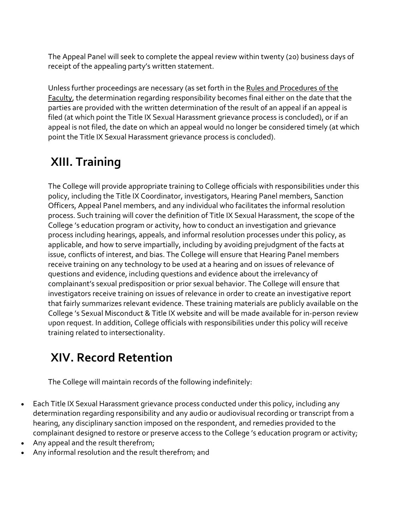The Appeal Panel will seek to complete the appeal review within twenty (20) business days of receipt of the appealing party's written statement.

Unless further proceedings are necessary (as set forth in the [Rules and Procedures of the](https://dof.princeton.edu/rules-and-procedures)  [Faculty,](https://dof.princeton.edu/rules-and-procedures) the determination regarding responsibility becomes final either on the date that the parties are provided with the written determination of the result of an appeal if an appeal is filed (at which point the Title IX Sexual Harassment grievance process is concluded), or if an appeal is not filed, the date on which an appeal would no longer be considered timely (at which point the Title IX Sexual Harassment grievance process is concluded).

# **XIII. Training**

The College will provide appropriate training to College officials with responsibilities under this policy, including the Title IX Coordinator, investigators, Hearing Panel members, Sanction Officers, Appeal Panel members, and any individual who facilitates the informal resolution process. Such training will cover the definition of Title IX Sexual Harassment, the scope of the College 's education program or activity, how to conduct an investigation and grievance process including hearings, appeals, and informal resolution processes under this policy, as applicable, and how to serve impartially, including by avoiding prejudgment of the facts at issue, conflicts of interest, and bias. The College will ensure that Hearing Panel members receive training on any technology to be used at a hearing and on issues of relevance of questions and evidence, including questions and evidence about the irrelevancy of complainant's sexual predisposition or prior sexual behavior. The College will ensure that investigators receive training on issues of relevance in order to create an investigative report that fairly summarizes relevant evidence. These training materials are publicly available on the College 's Sexual Misconduct & Title IX website and will be made available for in-person review upon request. In addition, College officials with responsibilities under this policy will receive training related to intersectionality.

# **XIV. Record Retention**

The College will maintain records of the following indefinitely:

- Each Title IX Sexual Harassment grievance process conducted under this policy, including any determination regarding responsibility and any audio or audiovisual recording or transcript from a hearing, any disciplinary sanction imposed on the respondent, and remedies provided to the complainant designed to restore or preserve access to the College 's education program or activity;
- Any appeal and the result therefrom;
- Any informal resolution and the result therefrom; and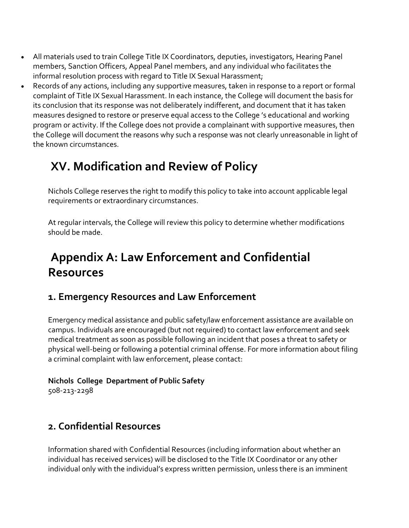- All materials used to train College Title IX Coordinators, deputies, investigators, Hearing Panel members, Sanction Officers, Appeal Panel members, and any individual who facilitates the informal resolution process with regard to Title IX Sexual Harassment;
- Records of any actions, including any supportive measures, taken in response to a report or formal complaint of Title IX Sexual Harassment. In each instance, the College will document the basis for its conclusion that its response was not deliberately indifferent, and document that it has taken measures designed to restore or preserve equal access to the College 's educational and working program or activity. If the College does not provide a complainant with supportive measures, then the College will document the reasons why such a response was not clearly unreasonable in light of the known circumstances.

# **XV. Modification and Review of Policy**

Nichols College reserves the right to modify this policy to take into account applicable legal requirements or extraordinary circumstances.

At regular intervals, the College will review this policy to determine whether modifications should be made.

# **Appendix A: Law Enforcement and Confidential Resources**

### **1. Emergency Resources and Law Enforcement**

Emergency medical assistance and public safety/law enforcement assistance are available on campus. Individuals are encouraged (but not required) to contact law enforcement and seek medical treatment as soon as possible following an incident that poses a threat to safety or physical well-being or following a potential criminal offense. For more information about filing a criminal complaint with law enforcement, please contact:

#### **Nichols College Department of Public Safety**

508-213-2298

## **2. Confidential Resources**

Information shared with Confidential Resources (including information about whether an individual has received services) will be disclosed to the Title IX Coordinator or any other individual only with the individual's express written permission, unless there is an imminent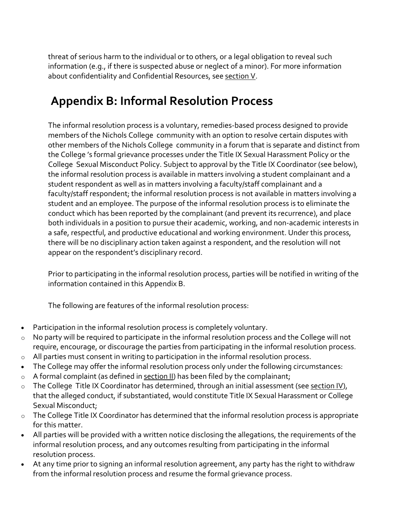threat of serious harm to the individual or to others, or a legal obligation to reveal such information (e.g., if there is suspected abuse or neglect of a minor). For more information about confidentiality and Confidential Resources, see [section V.](https://inclusive.princeton.edu/addressing-concerns/policies/title-ix-sexual-harassment-policy#TIXPSection5)

# **Appendix B: Informal Resolution Process**

The informal resolution process is a voluntary, remedies-based process designed to provide members of the Nichols College community with an option to resolve certain disputes with other members of the Nichols College community in a forum that is separate and distinct from the College 's formal grievance processes under the Title IX Sexual Harassment Policy or the College Sexual Misconduct Policy. Subject to approval by the Title IX Coordinator (see below), the informal resolution process is available in matters involving a student complainant and a student respondent as well as in matters involving a faculty/staff complainant and a faculty/staff respondent; the informal resolution process is not available in matters involving a student and an employee. The purpose of the informal resolution process is to eliminate the conduct which has been reported by the complainant (and prevent its recurrence), and place both individuals in a position to pursue their academic, working, and non-academic interests in a safe, respectful, and productive educational and working environment. Under this process, there will be no disciplinary action taken against a respondent, and the resolution will not appear on the respondent's disciplinary record.

Prior to participating in the informal resolution process, parties will be notified in writing of the information contained in this Appendix B.

The following are features of the informal resolution process:

- Participation in the informal resolution process is completely voluntary.
- o No party will be required to participate in the informal resolution process and the College will not require, encourage, or discourage the parties from participating in the informal resolution process.
- o All parties must consent in writing to participation in the informal resolution process.
- The College may offer the informal resolution process only under the following circumstances:
- $\circ$  A formal complaint (as defined in [section II\)](https://inclusive.princeton.edu/addressing-concerns/policies/title-ix-sexual-harassment-policy#TIXPSection2) has been filed by the complainant;
- o The College Title IX Coordinator has determined, through an initial assessment (see [section IV\)](https://inclusive.princeton.edu/addressing-concerns/policies/title-ix-sexual-harassment-policy#TIXPSection4), that the alleged conduct, if substantiated, would constitute Title IX Sexual Harassment or College Sexual Misconduct;
- $\circ$  The College Title IX Coordinator has determined that the informal resolution process is appropriate for this matter.
- All parties will be provided with a written notice disclosing the allegations, the requirements of the informal resolution process, and any outcomes resulting from participating in the informal resolution process.
- At any time prior to signing an informal resolution agreement, any party has the right to withdraw from the informal resolution process and resume the formal grievance process.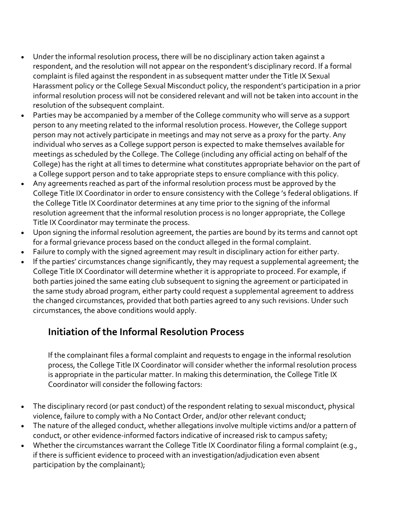- Under the informal resolution process, there will be no disciplinary action taken against a respondent, and the resolution will not appear on the respondent's disciplinary record. If a formal complaint is filed against the respondent in as subsequent matter under the Title IX Sexual Harassment policy or the College Sexual Misconduct policy, the respondent's participation in a prior informal resolution process will not be considered relevant and will not be taken into account in the resolution of the subsequent complaint.
- Parties may be accompanied by a member of the College community who will serve as a support person to any meeting related to the informal resolution process. However, the College support person may not actively participate in meetings and may not serve as a proxy for the party. Any individual who serves as a College support person is expected to make themselves available for meetings as scheduled by the College. The College (including any official acting on behalf of the College) has the right at all times to determine what constitutes appropriate behavior on the part of a College support person and to take appropriate steps to ensure compliance with this policy.
- Any agreements reached as part of the informal resolution process must be approved by the College Title IX Coordinator in order to ensure consistency with the College 's federal obligations. If the College Title IX Coordinator determines at any time prior to the signing of the informal resolution agreement that the informal resolution process is no longer appropriate, the College Title IX Coordinator may terminate the process.
- Upon signing the informal resolution agreement, the parties are bound by its terms and cannot opt for a formal grievance process based on the conduct alleged in the formal complaint.
- Failure to comply with the signed agreement may result in disciplinary action for either party.
- If the parties' circumstances change significantly, they may request a supplemental agreement; the College Title IX Coordinator will determine whether it is appropriate to proceed. For example, if both parties joined the same eating club subsequent to signing the agreement or participated in the same study abroad program, either party could request a supplemental agreement to address the changed circumstances, provided that both parties agreed to any such revisions. Under such circumstances, the above conditions would apply.

## **Initiation of the Informal Resolution Process**

If the complainant files a formal complaint and requests to engage in the informal resolution process, the College Title IX Coordinator will consider whether the informal resolution process is appropriate in the particular matter. In making this determination, the College Title IX Coordinator will consider the following factors:

- The disciplinary record (or past conduct) of the respondent relating to sexual misconduct, physical violence, failure to comply with a No Contact Order, and/or other relevant conduct;
- The nature of the alleged conduct, whether allegations involve multiple victims and/or a pattern of conduct, or other evidence-informed factors indicative of increased risk to campus safety;
- Whether the circumstances warrant the College Title IX Coordinator filing a formal complaint (e.g., if there is sufficient evidence to proceed with an investigation/adjudication even absent participation by the complainant);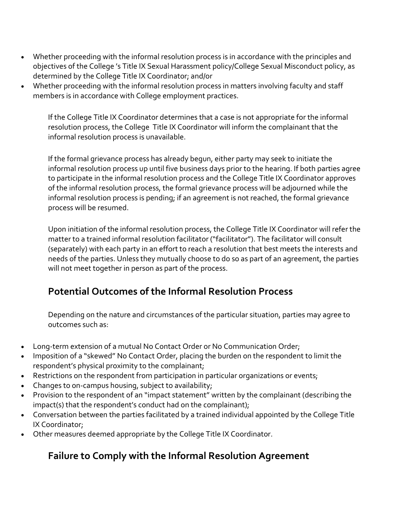- Whether proceeding with the informal resolution process is in accordance with the principles and objectives of the College 's Title IX Sexual Harassment policy/College Sexual Misconduct policy, as determined by the College Title IX Coordinator; and/or
- Whether proceeding with the informal resolution process in matters involving faculty and staff members is in accordance with College employment practices.

If the College Title IX Coordinator determines that a case is not appropriate for the informal resolution process, the College Title IX Coordinator will inform the complainant that the informal resolution process is unavailable.

If the formal grievance process has already begun, either party may seek to initiate the informal resolution process up until five business days prior to the hearing. If both parties agree to participate in the informal resolution process and the College Title IX Coordinator approves of the informal resolution process, the formal grievance process will be adjourned while the informal resolution process is pending; if an agreement is not reached, the formal grievance process will be resumed.

Upon initiation of the informal resolution process, the College Title IX Coordinator will refer the matter to a trained informal resolution facilitator ("facilitator"). The facilitator will consult (separately) with each party in an effort to reach a resolution that best meets the interests and needs of the parties. Unless they mutually choose to do so as part of an agreement, the parties will not meet together in person as part of the process.

### **Potential Outcomes of the Informal Resolution Process**

Depending on the nature and circumstances of the particular situation, parties may agree to outcomes such as:

- Long-term extension of a mutual No Contact Order or No Communication Order;
- Imposition of a "skewed" No Contact Order, placing the burden on the respondent to limit the respondent's physical proximity to the complainant;
- Restrictions on the respondent from participation in particular organizations or events;
- Changes to on-campus housing, subject to availability;
- Provision to the respondent of an "impact statement" written by the complainant (describing the impact(s) that the respondent's conduct had on the complainant);
- Conversation between the parties facilitated by a trained individual appointed by the College Title IX Coordinator;
- Other measures deemed appropriate by the College Title IX Coordinator.

## **Failure to Comply with the Informal Resolution Agreement**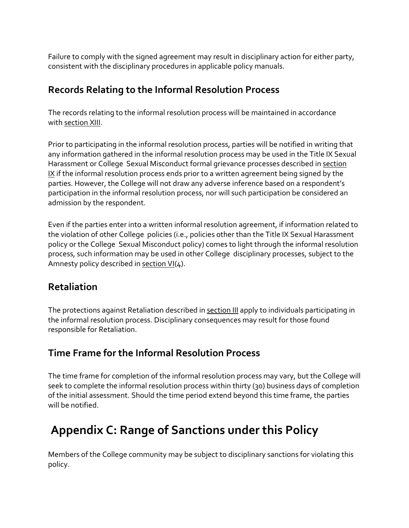Failure to comply with the signed agreement may result in disciplinary action for either party, consistent with the disciplinary procedures in applicable policy manuals.

#### **Records Relating to the Informal Resolution Process**

The records relating to the informal resolution process will be maintained in accordance with [section XIII.](https://inclusive.princeton.edu/addressing-concerns/policies/title-ix-sexual-harassment-policy#TIXPSection13)

Prior to participating in the informal resolution process, parties will be notified in writing that any information gathered in the informal resolution process may be used in the Title IX Sexual Harassment or College Sexual Misconduct formal grievance processes described in [section](https://inclusive.princeton.edu/addressing-concerns/policies/title-ix-sexual-harassment-policy#TIXPSection9)  [IX](https://inclusive.princeton.edu/addressing-concerns/policies/title-ix-sexual-harassment-policy#TIXPSection9) if the informal resolution process ends prior to a written agreement being signed by the parties. However, the College will not draw any adverse inference based on a respondent's participation in the informal resolution process, nor will such participation be considered an admission by the respondent.

Even if the parties enter into a written informal resolution agreement, if information related to the violation of other College policies (i.e., policies other than the Title IX Sexual Harassment policy or the College Sexual Misconduct policy) comes to light through the informal resolution process, such information may be used in other College disciplinary processes, subject to the Amnesty policy described in [section VI\(](https://inclusive.princeton.edu/addressing-concerns/policies/title-ix-sexual-harassment-policy#TIXPSection6)4).

### **Retaliation**

The protections against Retaliation described in [section III](https://inclusive.princeton.edu/addressing-concerns/policies/title-ix-sexual-harassment-policy#TIXPSection3) apply to individuals participating in the informal resolution process. Disciplinary consequences may result for those found responsible for Retaliation.

## **Time Frame for the Informal Resolution Process**

The time frame for completion of the informal resolution process may vary, but the College will seek to complete the informal resolution process within thirty (30) business days of completion of the initial assessment. Should the time period extend beyond this time frame, the parties will be notified.

# **Appendix C: Range of Sanctions under this Policy**

Members of the College community may be subject to disciplinary sanctions for violating this policy.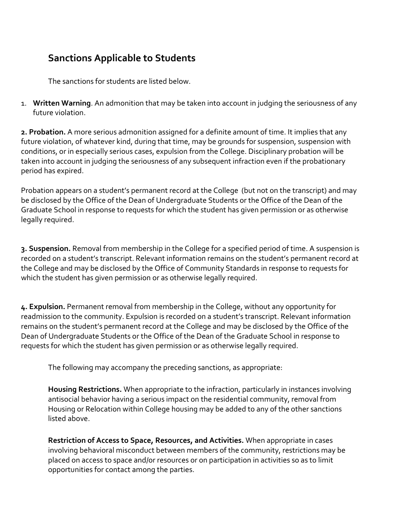## **Sanctions Applicable to Students**

The sanctions for students are listed below.

1. **Written Warning**. An admonition that may be taken into account in judging the seriousness of any future violation.

**2. Probation.** A more serious admonition assigned for a definite amount of time. It implies that any future violation, of whatever kind, during that time, may be grounds for suspension, suspension with conditions, or in especially serious cases, expulsion from the College. Disciplinary probation will be taken into account in judging the seriousness of any subsequent infraction even if the probationary period has expired.

Probation appears on a student's permanent record at the College (but not on the transcript) and may be disclosed by the Office of the Dean of Undergraduate Students or the Office of the Dean of the Graduate School in response to requests for which the student has given permission or as otherwise legally required.

**3. Suspension.** Removal from membership in the College for a specified period of time. A suspension is recorded on a student's transcript. Relevant information remains on the student's permanent record at the College and may be disclosed by the Office of Community Standards in response to requests for which the student has given permission or as otherwise legally required.

**4. Expulsion.** Permanent removal from membership in the College, without any opportunity for readmission to the community. Expulsion is recorded on a student's transcript. Relevant information remains on the student's permanent record at the College and may be disclosed by the Office of the Dean of Undergraduate Students or the Office of the Dean of the Graduate School in response to requests for which the student has given permission or as otherwise legally required.

The following may accompany the preceding sanctions, as appropriate:

**Housing Restrictions.** When appropriate to the infraction, particularly in instances involving antisocial behavior having a serious impact on the residential community, removal from Housing or Relocation within College housing may be added to any of the other sanctions listed above.

**Restriction of Access to Space, Resources, and Activities.** When appropriate in cases involving behavioral misconduct between members of the community, restrictions may be placed on access to space and/or resources or on participation in activities so as to limit opportunities for contact among the parties.